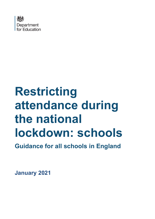

# **Restricting attendance during the national lockdown: schools**

**Guidance for all schools in England**

**January 2021**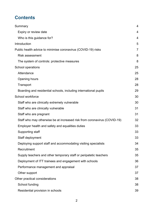# **Contents**

| Summary                                                                  | $\overline{4}$ |
|--------------------------------------------------------------------------|----------------|
|                                                                          |                |
| Expiry or review date                                                    | 4              |
| Who is this guidance for?                                                | 4              |
| Introduction                                                             | 5              |
| Public health advice to minimise coronavirus (COVID-19) risks            | 7              |
| <b>Risk assessment</b>                                                   | 8              |
| The system of controls: protective measures                              | 8              |
| School operations                                                        | 25             |
| Attendance                                                               | 25             |
| Opening hours                                                            | 28             |
| Transport                                                                | 28             |
| Boarding and residential schools, including international pupils         | 29             |
| School workforce                                                         | 30             |
| Staff who are clinically extremely vulnerable                            | 30             |
| Staff who are clinically vulnerable                                      | 31             |
| Staff who are pregnant                                                   | 31             |
| Staff who may otherwise be at increased risk from coronavirus (COVID-19) | 32             |
| Employer health and safety and equalities duties                         | 33             |
| Supporting staff                                                         | 33             |
| Staff deployment                                                         | 33             |
| Deploying support staff and accommodating visiting specialists           | 34             |
| Recruitment                                                              | 35             |
| Supply teachers and other temporary staff or peripatetic teachers        | 35             |
| Deployment of ITT trainees and engagement with schools                   | 36             |
| Performance management and appraisal                                     | 37             |
| Other support                                                            | 37             |
| Other practical considerations                                           | 38             |
| School funding                                                           | 38             |
| Residential provision in schools                                         | 39             |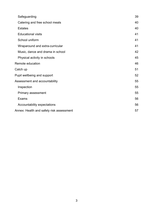| Safeguarding                             | 39 |
|------------------------------------------|----|
| Catering and free school meals           | 40 |
| <b>Estates</b>                           | 40 |
| <b>Educational visits</b>                | 41 |
| School uniform                           | 41 |
| Wraparound and extra-curricular          | 41 |
| Music, dance and drama in school         | 42 |
| Physical activity in schools             | 45 |
| Remote education                         | 46 |
| Catch up                                 | 51 |
| Pupil wellbeing and support              | 52 |
| Assessment and accountability            |    |
| Inspection                               | 55 |
| Primary assessment                       | 55 |
| Exams                                    | 56 |
| Accountability expectations              | 56 |
| Annex: Health and safety risk assessment | 57 |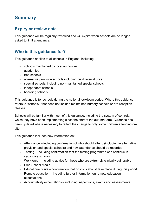# <span id="page-3-0"></span>**Summary**

# <span id="page-3-1"></span>**Expiry or review date**

This guidance will be regularly reviewed and will expire when schools are no longer asked to limit attendance.

# <span id="page-3-2"></span>**Who is this guidance for?**

This guidance applies to all schools in England, including:

- schools maintained by local authorities
- academies
- free schools
- alternative provision schools including pupil referral units
- special schools, including non-maintained special schools
- independent schools
- boarding schools

This guidance is for schools during the national lockdown period. Where this guidance refers to "schools", that does not include maintained nursery schools or pre-reception classes.

Schools will be familiar with much of this guidance, including the system of controls, which they have been implementing since the start of the autumn term. Guidance has been updated where necessary to reflect the change to only some children attending onsite.

This guidance includes new information on:

- Attendance including confirmation of who should attend (including in alternative provision and special schools) and how attendance should be recorded
- Testing including confirmation that the testing programme can continue in secondary schools
- Workforce including advice for those who are extremely clinically vulnerable
- Free School Meals
- Educational visits confirmation that no visits should take place during this period
- Remote education including further information on remote education expectations
- Accountability expectations including inspections, exams and assessments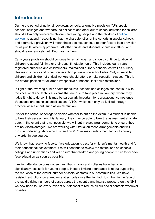# <span id="page-4-0"></span>**Introduction**

During the period of national lockdown, schools, alternative provision (AP), special schools, colleges and wraparound childcare and other out-of-school activities for children should allow only vulnerable children and young people and the children of [critical](https://www.gov.uk/government/publications/coronavirus-covid-19-maintaining-educational-provision?utm_source=4%20January%202021%20C19&utm_medium=Daily%20Email%20C19&utm_campaign=DfE%20C19)  [workers](https://www.gov.uk/government/publications/coronavirus-covid-19-maintaining-educational-provision?utm_source=4%20January%202021%20C19&utm_medium=Daily%20Email%20C19&utm_campaign=DfE%20C19) to attend (recognising that the characteristics of the cohorts in special schools and alternative provision will mean these settings continue to offer face to face provision for all pupils, where appropriate). All other pupils and students should not attend and should learn remotely until February half term.

Early years provision should continue to remain open and should continue to allow all children to attend full time or their usual timetable hours. This includes early years registered nurseries and childminders, maintained nursery schools, as well as nursery classes in schools and other pre-reception provision on school sites. Only vulnerable children and children of critical workers should attend on-site reception classes. This is the default position for all areas irrespective of national lockdown restrictions.

In light of the evolving public health measures, schools and colleges can continue with the vocational and technical exams that are due to take place in January, where they judge it right to do so. This may be particularly important for occupational competence Vocational and technical qualifications (VTQs) which can only be fulfilled through practical assessment, such as an electrician.

It is for the school or college to decide whether to put on the exam. If a student is unable to take their assessment this January, they may be able to take the assessment at a later date. In the event that is not possible, we will put in place arrangements to ensure they are not disadvantaged. We are working with Ofqual on these arrangements and will provide updated guidance on this, and on VTQ assessments scheduled for February onwards, in due course.

We know that receiving face-to-face education is best for children's mental health and for their educational achievement. We will continue to review the restrictions on schools, colleges and universities and will ensure that children and young people return to face-toface education as soon as possible.

Limiting attendance does not suggest that schools and colleges have become significantly less safe for young people. Instead limiting attendance is about supporting the reduction of the overall number of social contacts in our communities. We have resisted restrictions on attendance at schools since the first lockdown but, in the face of the rapidly rising numbers of cases across the country and intense pressure on the NHS, we now need to use every lever at our disposal to reduce all our social contacts wherever possible.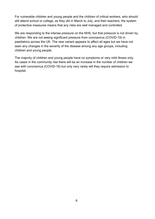For vulnerable children and young people and the children of critical workers, who should still attend school or college, as they did in March to July, and their teachers, the system of protective measures means that any risks are well managed and controlled.

We are responding to the intense pressure on the NHS, but that pressure is not driven by children. We are not seeing significant pressure from coronavirus (COVID-19) in paediatrics across the UK. The new variant appears to affect all ages but we have not seen any changes in the severity of the disease among any age groups, including children and young people.

The majority of children and young people have no symptoms or very mild illness only. As cases in the community rise there will be an increase in the number of children we see with coronavirus (COVID-19) but only very rarely will they require admission to hospital.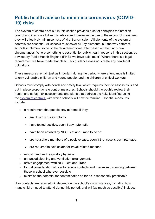# <span id="page-6-0"></span>**Public health advice to minimise coronavirus (COVID-19) risks**

The system of controls set out in this section provides a set of principles for infection control and if schools follow this advice and maximise the use of these control measures, they will effectively minimise risks of viral transmission. All elements of the system of controls are essential. All schools must cover all key elements, but the way different schools implement some of the requirements will differ based on their individual circumstances. Where something is essential for public health reasons in this section, as advised by Public Health England (PHE), we have said 'must'. Where there is a legal requirement we have made that clear. This guidance does not create any new legal obligations.

These measures remain just as important during the period where attendance is limited to only vulnerable children and young people, and the children of critical workers.

Schools must comply with health and safety law, which requires them to assess risks and put in place proportionate control measures. Schools should thoroughly review their health and safety risk assessments and plans that address the risks identified using the [system of controls,](https://www.gov.uk/government/publications/actions-for-schools-during-the-coronavirus-outbreak/guidance-for-full-opening-schools#soc) with which schools will now be familiar. Essential measures include:

- a requirement that people stay at home if they:
	- are ill with virus symptoms
	- have tested positive, even if asymptomatic
	- have been advised by NHS Test and Trace to do so
	- are household members of a positive case, even if that case is asymptomatic
	- are required to self-isolate for travel-related reasons
- robust hand and respiratory hygiene
- enhanced cleaning and ventilation arrangements
- active engagement with NHS Test and Trace
- formal consideration of how to reduce contacts and maximise distancing between those in school wherever possible
- minimise the potential for contamination so far as is reasonably practicable

How contacts are reduced will depend on the school's circumstances, including how many children need to attend during this period, and will (as much as possible) include: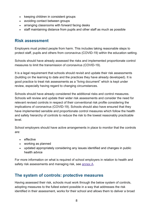- keeping children in consistent groups
- avoiding contact between groups
- arranging classrooms with forward facing desks
- staff maintaining distance from pupils and other staff as much as possible

## <span id="page-7-0"></span>**Risk assessment**

Employers must protect people from harm. This includes taking reasonable steps to protect staff, pupils and others from coronavirus (COVID-19) within the education setting.

Schools should have already assessed the risks and implemented proportionate control measures to limit the transmission of coronavirus (COVID-19).

It is a legal requirement that schools should revisit and update their risk assessments (building on the learning to date and the practices they have already developed). It is good practice to treat risk assessments as a "living document" which is kept under review, especially having regard to changing circumstances.

Schools should have already considered the additional risks and control measures. Schools will review and update their wider risk assessments and consider the need for relevant revised controls in respect of their conventional risk profile considering the implications of coronavirus (COVID-19). Schools should also have ensured that they have implemented sensible and proportionate control measures which follow the health and safety hierarchy of controls to reduce the risk to the lowest reasonably practicable level.

School employers should have active arrangements in place to monitor that the controls are:

- effective
- working as planned
- updated appropriately considering any issues identified and changes in public health advice

For more information on what is required of school employers in relation to health and safety risk assessments and managing risk, see [annex A.](https://www.gov.uk/government/publications/actions-for-schools-during-the-coronavirus-outbreak/guidance-for-full-opening-schools#A)

## <span id="page-7-1"></span>**The system of controls: protective measures**

Having assessed their risk, schools must work through the below system of controls, adopting measures to the fullest extent possible in a way that addresses the risk identified in their assessment, works for their school and allows them to deliver a broad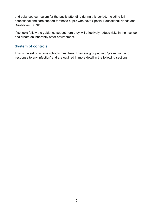and balanced curriculum for the pupils attending during this period, including full educational and care support for those pupils who have Special Educational Needs and Disabilities (SEND).

If schools follow the guidance set out here they will effectively reduce risks in their school and create an inherently safer environment.

## **System of controls**

This is the set of actions schools must take. They are grouped into 'prevention' and 'response to any infection' and are outlined in more detail in the following sections.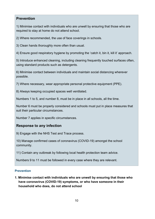## **Prevention**

1) Minimise contact with individuals who are unwell by ensuring that those who are required to stay at home do not attend school.

2) Where recommended, the use of face coverings in schools.

3) Clean hands thoroughly more often than usual.

4) Ensure good respiratory hygiene by promoting the 'catch it, bin it, kill it' approach.

5) Introduce enhanced cleaning, including cleaning frequently touched surfaces often, using standard products such as detergents.

6) Minimise contact between individuals and maintain social distancing wherever possible.

7) Where necessary, wear appropriate personal protective equipment (PPE).

8) Always keeping occupied spaces well ventilated.

Numbers 1 to 5, and number 8, must be in place in all schools, all the time.

Number 6 must be properly considered and schools must put in place measures that suit their particular circumstances.

Number 7 applies in specific circumstances.

## **Response to any infection**

9) Engage with the NHS Test and Trace process.

10) Manage confirmed cases of coronavirus (COVID-19) amongst the school community.

11) Contain any outbreak by following local health protection team advice.

Numbers 9 to 11 must be followed in every case where they are relevant.

#### **Prevention**

**1. Minimise contact with individuals who are unwell by ensuring that those who have coronavirus (COVID-19) symptoms, or who have someone in their household who does, do not attend school**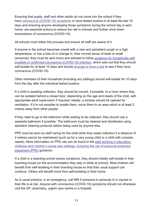Ensuring that pupils, staff and other adults do not come into the school if they have coronavirus [\(COVID-19\)](https://www.gov.uk/guidance/nhs-test-and-trace-how-it-works#people-who-develop-symptoms-of-coronavirus) symptoms or have tested positive in at least the last 10 days and ensuring anyone developing those symptoms during the school day is sent home, are essential actions to reduce the risk in schools and further drive down transmission of coronavirus (COVID-19).

All schools must follow this process and ensure all staff are aware of it.

If anyone in the school becomes unwell with a new and persistent cough or a high temperature, or has a loss of or change in, their normal sense of taste or smell (anosmia), they must be sent home and advised to follow guidance for [households](https://www.gov.uk/government/publications/covid-19-stay-at-home-guidance) with possible or confirmed coronavirus [\(COVID-19\)](https://www.gov.uk/government/publications/covid-19-stay-at-home-guidance) infection, which sets out that they should self-isolate for at least 10 days and should arrange to [have a test](https://www.gov.uk/guidance/coronavirus-covid-19-getting-tested) to see if they have coronavirus (COVID-19).

Other members of their household (including any siblings) should self-isolate for 10 days from the day after the individual tested positive.

If a child is awaiting collection, they should be moved, if possible, to a room where they can be isolated behind a closed door, depending on the age and needs of the child, with appropriate adult supervision if required. Ideally, a window should be opened for ventilation. If it is not possible to isolate them, move them to an area which is at least 2 metres away from other people.

If they need to go to the bathroom while waiting to be collected, they should use a separate bathroom if possible. The bathroom must be cleaned and disinfected using standard cleaning products before being used by anyone else.

PPE must be worn by staff caring for the child while they await collection if a distance of 2 metres cannot be maintained (such as for a very young child or a child with complex needs). More information on PPE use can be found in the safe working in [education,](https://www.gov.uk/government/publications/safe-working-in-education-childcare-and-childrens-social-care/safe-working-in-education-childcare-and-childrens-social-care-settings-including-the-use-of-personal-protective-equipment-ppe) childcare and children's social care settings, including the use of personal [protective](https://www.gov.uk/government/publications/safe-working-in-education-childcare-and-childrens-social-care/safe-working-in-education-childcare-and-childrens-social-care-settings-including-the-use-of-personal-protective-equipment-ppe) [equipment](https://www.gov.uk/government/publications/safe-working-in-education-childcare-and-childrens-social-care/safe-working-in-education-childcare-and-childrens-social-care-settings-including-the-use-of-personal-protective-equipment-ppe) (PPE) guidance.

If a child in a boarding school shows symptoms, they should initially self-isolate in their boarding house (or the accommodation they stay in while at school). Most children will benefit from self-isolating in their boarding house so that their usual support can continue. Others will benefit more from self-isolating in their home.

As is usual practice, in an emergency, call 999 if someone is seriously ill or injured or their life is at risk. Anyone with coronavirus (COVID-19) symptoms should not otherwise visit the GP, pharmacy, urgent care centre or a hospital.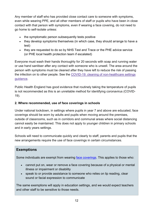Any member of staff who has provided close contact care to someone with symptoms, even while wearing PPE, and all other members of staff or pupils who have been in close contact with that person with symptoms, even if wearing a face covering, do not need to go home to self-isolate unless:

- the symptomatic person subsequently tests positive
- they develop symptoms themselves (in which case, they should arrange to have a test)
- they are requested to do so by NHS Test and Trace or the PHE advice service (or PHE local health protection team if escalated)

Everyone must wash their hands thoroughly for 20 seconds with soap and running water or use hand sanitiser after any contact with someone who is unwell. The area around the person with symptoms must be cleaned after they have left to reduce the risk of passing the infection on to other people. See the COVID-19: cleaning of [non-healthcare](https://www.gov.uk/government/publications/covid-19-decontamination-in-non-healthcare-settings) settings [guidance.](https://www.gov.uk/government/publications/covid-19-decontamination-in-non-healthcare-settings)

Public Health England has good evidence that routinely taking the temperature of pupils is not recommended as this is an unreliable method for identifying coronavirus (COVID-19).

#### **2. Where recommended, use of face coverings in schools**

Under national lockdown, in settings where pupils in year 7 and above are educated, face coverings should be worn by adults and pupils when moving around the premises, outside of classrooms, such as in corridors and communal areas where social distancing cannot easily be maintained. This does not apply to younger children in primary schools and in early years settings.

Schools will need to communicate quickly and clearly to staff, parents and pupils that the new arrangements require the use of face coverings in certain circumstances.

## **Exemptions**

Some individuals are exempt from wearing [face coverings.](https://www.gov.uk/government/publications/face-coverings-when-to-wear-one-and-how-to-make-your-own/face-coverings-when-to-wear-one-and-how-to-make-your-own) This applies to those who:

- cannot put on, wear or remove a face covering because of a physical or mental illness or impairment or disability
- speak to or provide assistance to someone who relies on lip reading, clear sound or facial expression to communicate

The same exemptions will apply in education settings, and we would expect teachers and other staff to be sensitive to those needs.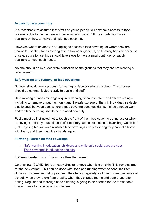#### **Access to face coverings**

It is reasonable to assume that staff and young people will now have access to face coverings due to their increasing use in wider society. PHE has made resources available on how to make a simple face covering.

However, where anybody is struggling to access a face covering, or where they are unable to use their face covering due to having forgotten it, or it having become soiled or unsafe, education settings should take steps to have a small contingency supply available to meet such needs.

No one should be excluded from education on the grounds that they are not wearing a face covering.

#### **Safe wearing and removal of face coverings**

Schools should have a process for managing face coverings in school. This process should be communicated clearly to pupils and staff.

Safe wearing of face coverings requires cleaning of hands before and after touching – including to remove or put them on – and the safe storage of them in individual, sealable plastic bags between use. Where a face covering becomes damp, it should not be worn and the face covering should be replaced carefully.

Pupils must be instructed not to touch the front of their face covering during use or when removing it and they must dispose of temporary face coverings in a 'black bag' waste bin (not recycling bin) or place reusable face coverings in a plastic bag they can take home with them, and then wash their hands again.

#### **Further guidance on face coverings**

- Safe working in education, childcare and [children's social care](https://www.gov.uk/government/publications/safe-working-in-education-childcare-and-childrens-social-care) provides
- Face coverings in [education](https://www.gov.uk/government/publications/face-coverings-in-education/face-coverings-in-education) settings

#### **3. Clean hands thoroughly more often than usual**

Coronavirus (COVID-19) is an easy virus to remove when it is on skin. This remains true for the new variant. This can be done with soap and running water or hand sanitiser. Schools must ensure that pupils clean their hands regularly, including when they arrive at school, when they return from breaks, when they change rooms and before and after eating. Regular and thorough hand cleaning is going to be needed for the foreseeable future. Points to consider and implement: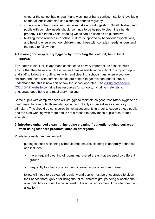- whether the school has enough hand washing or hand sanitiser 'stations' available so that all pupils and staff can clean their hands regularly
- supervision of hand sanitiser use given risks around ingestion. Small children and pupils with complex needs should continue to be helped to clean their hands properly. Skin friendly skin cleaning wipes can be used as an alternative
- building these routines into school culture, supported by behaviour expectations, and helping ensure younger children, and those with complex needs, understand the need to follow them

## **4. Ensure good respiratory hygiene by promoting the 'catch it, bin it, kill it' approach**

The 'catch it, bin it, kill it' approach continues to be very important, so schools must ensure that they have enough tissues and bins available in the school to support pupils and staff to follow this routine. As with hand cleaning, schools must ensure younger children and those with complex needs are helped to get this right and all pupils understand that this is now part of how the school operates. The e-Bug [coronavirus](https://e-bug.eu/eng_home.aspx?cc=eng&ss=1&t=Information%20about%20the%20Coronavirus) [\(COVID-19\)](https://e-bug.eu/eng_home.aspx?cc=eng&ss=1&t=Information%20about%20the%20Coronavirus) website contains free resources for schools, including materials to encourage good hand and respiratory hygiene.

Some pupils with complex needs will struggle to maintain as good respiratory hygiene as their peers, for example, those who spit uncontrollably or use saliva as a sensory stimulant. This should be considered in risk assessments in order to support these pupils and the staff working with them and is not a reason to deny these pupils face-to-face education.

### **5. Introduce enhanced cleaning, including cleaning frequently touched surfaces often using standard products, such as detergents**

Points to consider and implement:

- putting in place a cleaning schedule that ensures cleaning is generally enhanced and includes:
	- more frequent cleaning of rooms and shared areas that are used by different groups
	- frequently touched surfaces being cleaned more often than normal
- toilets will need to be cleaned regularly and pupils must be encouraged to clean their hands thoroughly after using the toilet - different groups being allocated their own toilet blocks could be considered but is not a requirement if the site does not allow for it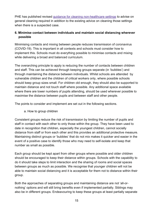PHE has published revised guidance for cleaning [non-healthcare](https://www.gov.uk/government/publications/covid-19-decontamination-in-non-healthcare-settings) settings to advise on general cleaning required in addition to the existing advice on cleaning those settings when there is a suspected case.

## **6. Minimise contact between individuals and maintain social distancing wherever possible**

Minimising contacts and mixing between people reduces transmission of coronavirus (COVID-19). This is important in all contexts and schools must consider how to implement this. Schools must do everything possible to minimise contacts and mixing while delivering a broad and balanced curriculum.

The overarching principle to apply is reducing the number of contacts between children and staff. This can be achieved through keeping groups separate (in 'bubbles') and through maintaining the distance between individuals. Whilst schools are attended by vulnerable children and the children of critical workers only, where possible schools should keep group sizes small. For children old enough, they should also be supported to maintain distance and not touch staff where possible. Any additional space available where there are lower numbers of pupils attending, should be used wherever possible to maximise the distance between pupils and between staff and other people.

The points to consider and implement are set out in the following sections.

a. How to group children

Consistent groups reduce the risk of transmission by limiting the number of pupils and staff in contact with each other to only those within the group. They have been used to date in recognition that children, especially the youngest children, cannot socially distance from staff or from each other and this provides an additional protective measure. Maintaining distinct groups or 'bubbles' that do not mix makes it quicker and easier in the event of a positive case to identify those who may need to self-isolate and keep that number as small as possible.

Each group should be kept apart from other groups where possible and older children should be encouraged to keep their distance within groups. Schools with the capability to do it should take steps to limit interaction and the sharing of rooms and social spaces between groups as much as possible. We recognise that younger children will not be able to maintain social distancing and it is acceptable for them not to distance within their group.

Both the approaches of separating groups and maintaining distance are not 'all-ornothing' options and will still bring benefits even if implemented partially. Siblings may also be in different groups. Endeavouring to keep these groups at least partially separate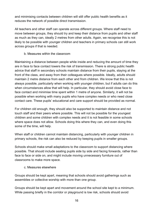and minimising contacts between children will still offer public health benefits as it reduces the network of possible direct transmission.

All teachers and other staff can operate across different groups. Where staff need to move between groups, they should try and keep their distance from pupils and other staff as much as they can, ideally 2 metres from other adults. Again, we recognise this is not likely to be possible with younger children and teachers in primary schools can still work across groups if that is needed.

#### b. Measures within the classroom

Maintaining a distance between people while inside and reducing the amount of time they are in face to face contact lowers the risk of transmission. There is strong public health advice that staff in secondary schools maintain distance from their pupils, staying at the front of the class, and away from their colleagues where possible. Ideally, adults should maintain 2 metre distance from each other and from children. We know that this is not always possible, particularly when working with younger children, but if adults can do this when circumstances allow that will help. In particular, they should avoid close face to face contact and minimise time spent within 1 metre of anyone. Similarly, it will not be possible when working with many pupils who have complex needs or who need close contact care. These pupils' educational and care support should be provided as normal.

For children old enough, they should also be supported to maintain distance and not touch staff and their peers where possible. This will not be possible for the youngest children and some children with complex needs and it is not feasible in some schools where space does not allow. Schools doing this where they can, and even doing this some of the time, will help.

When staff or children cannot maintain distancing, particularly with younger children in primary schools, the risk can also be reduced by keeping pupils in smaller groups.

Schools should make small adaptations to the classroom to support distancing where possible. That should include seating pupils side by side and facing forwards, rather than face to face or side on, and might include moving unnecessary furniture out of classrooms to make more space.

#### c. Measures elsewhere

Groups should be kept apart, meaning that schools should avoid gatherings such as assemblies or collective worship with more than one group.

Groups should be kept apart and movement around the school site kept to a minimum. While passing briefly in the corridor or playground is low risk, schools should avoid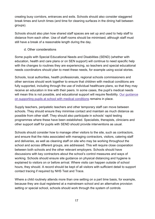creating busy corridors, entrances and exits. Schools should also consider staggered break times and lunch times (and time for cleaning surfaces in the dining hall between groups).

Schools should also plan how shared staff spaces are set up and used to help staff to distance from each other. Use of staff rooms should be minimised, although staff must still have a break of a reasonable length during the day.

d. Other considerations

Some pupils with Special Educational Needs and Disabilities (SEND) (whether with education, health and care plans or on SEN support) will continue to need specific help with the changes to routines they are experiencing, so teachers and special educational needs coordinators should plan to meet these needs, for example using social stories.

Schools, local authorities, health professionals, regional schools commissioners and other services should work together to ensure that children with medical conditions are fully supported, including through the use of individual healthcare plans, so that they may receive an education in line with their peers. In some cases, the pupil's medical needs will mean this is not possible, and educational support will require flexibility. Our [guidance](https://assets.publishing.service.gov.uk/government/uploads/system/uploads/attachment_data/file/803956/supporting-pupils-at-school-with-medical-conditions.pdf) on [supporting](https://assets.publishing.service.gov.uk/government/uploads/system/uploads/attachment_data/file/803956/supporting-pupils-at-school-with-medical-conditions.pdf) pupils at school with medical conditions remains in place.

Supply teachers, peripatetic teachers and other temporary staff can move between schools. They should ensure they minimise contact and maintain as much distance as possible from other staff. They should also participate in schools' rapid testing programmes where these have been established. Specialists, therapists, clinicians and other support staff for pupils with SEND should provide interventions as usual.

Schools should consider how to manage other visitors to the site, such as contractors, and ensure that the risks associated with managing contractors, visitors, catering staff and deliveries, as well as cleaning staff on site who may be working throughout the school and across different groups, are addressed. This will require close cooperation between both schools and the other relevant employers. Schools should have discussions with key contractors about the school's control measures and ways of working. Schools should ensure site guidance on physical distancing and hygiene is explained to visitors on or before arrival. Where visits can happen outside of school hours, they should. A record should be kept of all visitors with sufficient detail to support contact tracing if required by NHS Test and Trace.

Where a child routinely attends more than one setting on a part time basis, for example, because they are dual registered at a mainstream school and an alternative provision setting or special school, schools should work through the system of controls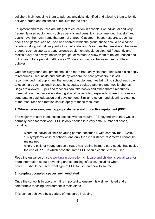collaboratively, enabling them to address any risks identified and allowing them to jointly deliver a broad and balanced curriculum for the child.

Equipment and resources are integral to education in schools. For individual and very frequently used equipment, such as pencils and pens, it is recommended that staff and pupils have their own items that are not shared. Classroom based resources, such as books and games, can be used and shared within the group; these should be cleaned regularly, along with all frequently touched surfaces. Resources that are shared between groups, such as sports, art and science equipment should be cleaned frequently and meticulously and always between groups, or rotated to allow them to be left unused and out of reach for a period of 48 hours (72 hours for plastics) between use by different bubbles.

Outdoor playground equipment should be more frequently cleaned. This would also apply to resources used inside and outside by wraparound care providers. It is still recommended that pupils limit the amount of equipment they bring into school each day, to essentials such as lunch boxes, hats, coats, books, stationery and mobile phones. Bags are allowed. Pupils and teachers can take books and other shared resources home, although unnecessary sharing should be avoided, especially where this does not contribute to pupil education and development. Similar rules on hand cleaning, cleaning of the resources and rotation should apply to these resources.

#### **7. Where necessary, wear appropriate personal protective equipment (PPE)**

The majority of staff in education settings will not require PPE beyond what they would normally need for their work. PPE is only needed in a very small number of cases, including:

- where an individual child or young person becomes ill with coronavirus (COVID-19) symptoms while at schools, and only then if a distance of 2 metres cannot be maintained
- where a child or young person already has routine intimate care needs that involve the use of PPE, in which case the same PPE should continue to be used

Read the guidance on safe working in education, childcare and [children's social care](https://www.gov.uk/government/publications/safe-working-in-education-childcare-and-childrens-social-care) for more information about preventing and controlling infection, including when, how PPE should be used, what type of PPE to use, and how to source it.

#### **8) Keeping occupied spaces well ventilated**

Once the school is in operation, it is important to ensure it is well ventilated and a comfortable teaching environment is maintained.

This can be achieved by a variety of measures including: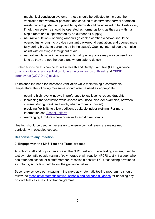- mechanical ventilation systems these should be adjusted to increase the ventilation rate wherever possible, and checked to confirm that normal operation meets current guidance (if possible, systems should be adjusted to full fresh air or, if not, then systems should be operated as normal as long as they are within a single room and supplemented by an outdoor air supply)
- natural ventilation opening windows (in cooler weather windows should be opened just enough to provide constant background ventilation, and opened more fully during breaks to purge the air in the space). Opening internal doors can also assist with creating a throughput of air
- natural ventilation if necessary external opening doors may also be used (as long as they are not fire doors and where safe to do so)

Further advice on this can be found in Health and Safety Executive (HSE) guidance on air [conditioning](https://www.hse.gov.uk/coronavirus/equipment-and-machinery/air-conditioning-and-ventilation.htm) and ventilation during the coronavirus outbreak and [CIBSE](https://www.cibse.org/coronavirus-covid-19/coronavirus,-sars-cov-2,-covid-19-and-hvac-systems) coronavirus [\(COVID-19\)](https://www.cibse.org/coronavirus-covid-19/coronavirus,-sars-cov-2,-covid-19-and-hvac-systems) advice.

To balance the need for increased ventilation while maintaining a comfortable temperature, the following measures should also be used as appropriate:

- opening high level windows in preference to low level to reduce draughts
- increasing the ventilation while spaces are unoccupied (for examples, between classes, during break and lunch, when a room is unused)
- providing flexibility to allow additional, suitable indoor clothing. For more information see School [uniform](https://www.gov.uk/government/publications/actions-for-schools-during-the-coronavirus-outbreak/guidance-for-full-opening-schools#school-uniform)
- rearranging furniture where possible to avoid direct drafts

Heating should be used as necessary to ensure comfort levels are maintained particularly in occupied spaces.

### **Response to any infection**

#### **9. Engage with the NHS Test and Trace process**

All school staff and pupils can access The NHS Test and Trace testing system, used to test symptomatic people (using a 'polymerase chain reaction (PCR) test'). If a pupil who has attended school, or a staff member, receives a positive PCR test having developed symptoms, schools should follow the guidance below.

Secondary schools participating in the rapid asymptomatic testing programme should follow the Mass [asymptomatic testing: schools and colleges guidance](https://www.gov.uk/guidance/asymptomatic-testing-in-schools-and-colleges) for handling any positive tests as a result of that programme.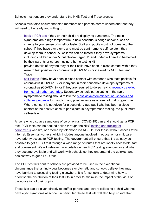Schools must ensure they understand the NHS Test and Trace process.

Schools must also ensure that staff members and parents/carers understand that they will need to be ready and willing to:

- [book a PCR](https://www.gov.uk/guidance/coronavirus-covid-19-getting-tested) test if they or their child are displaying symptoms. The main symptoms are a high temperature, a new continuous cough and/or a loss or change to your sense of smell or taste. Staff and pupils must not come into the school if they have symptoms and must be sent home to self-isolate if they develop them in school. All children can be tested if they have symptoms, including children under 5, but children aged 11 and under will need to be helped by their parents or carers if using a home testing kit
- provide details of anyone they or their child have been in close contact with if they were to test positive for coronavirus (COVID-19) or if asked by NHS Test and **Trace**
- [self-isolate](https://www.gov.uk/government/publications/covid-19-stay-at-home-guidance/stay-at-home-guidance-for-households-with-possible-coronavirus-covid-19-infection) if they have been in close contact with someone who tests positive for coronavirus (COVID-19), or if anyone in their household develops symptoms of coronavirus (COVID-19), or if they are required to do so having [recently travelled](https://www.gov.uk/uk-border-control/self-isolating-when-you-arrive)  [from certain other countries.](https://www.gov.uk/uk-border-control/self-isolating-when-you-arrive) Secondary schools participating in the rapid aymptomatic testing should follow the [Mass asymptomatic testing: schools and](https://www.gov.uk/guidance/asymptomatic-testing-in-schools-and-colleges)  [colleges guidance](https://www.gov.uk/guidance/asymptomatic-testing-in-schools-and-colleges) for handling any positive tests as a result of that programme. Where consent is not given for a secondary-age pupil who has been a close contact of the positive case to participate in asymptomatic testing, the pupil must self-isolate.

Anyone who displays symptoms of coronavirus (COVID-19) can and should get a PCR test. PCR tests can be booked online through the NHS testing and [tracing](https://www.nhs.uk/conditions/coronavirus-covid-19/testing-for-coronavirus/) for [coronavirus](https://www.nhs.uk/conditions/coronavirus-covid-19/testing-for-coronavirus/) website, or ordered by telephone via NHS 119 for those without access tothe internet. Essential workers, which includes anyone involved in education or childcare, have priority access to PCR testing. The government will ensure that it is as easy as possible to get a PCR test through a wide range of routes that are locally accessible, fast and convenient. We will release more details on new PCR testing avenues as and when they become available and will work with schools so they understand the quickest and easiest way to get a PCR test.

The PCR test kits sent to schools are provided to be used in the exceptional circumstance that an individual becomes symptomatic and schools believe they may have barriers to accessing testing elsewhere. It is for schools to determine how to prioritise the distribution of their test kits in order to minimise the impact of the virus on the education of their pupils.

These kits can be given directly to staff or parents and carers collecting a child who has developed symptoms at school. In particular, these test kits will also help ensure that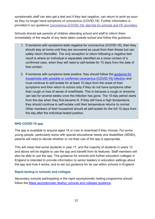symptomatic staff can also get a test and if they test negative, can return to work as soon as they no longer have symptoms of coronavirus (COVID-19). Further information is provided in our guidance Coronavirus [\(COVID-19\):](https://www.gov.uk/government/publications/coronavirus-covid-19-home-test-kits-for-schools-and-fe-providers/coronavirus-covid-19-home-test-kits-for-schools-and-fe-providers) test kits for schools and FE providers.

Schools should ask parents of children attending school and staff to inform them immediately of the results of any tests taken outside school and follow this guidance.

- 1. If someone with symptoms tests negative for coronavirus (COVID-19), then they should stay at home until they are recovered as usual from their illness but can safely return thereafter. The only exception to return following a negative test result is where an individual is separately identified as a close contact of a confirmed case, when they will need to self-isolate for 10 days from the date of that contact.
- 2. If someone with symptoms tests positive, they should follow the quidance for [households with possible or confirmed coronavirus \(COVID-19\) infection](https://www.gov.uk/government/publications/covid-19-stay-at-home-guidance) and must continue to self-isolate for at least 10 days from the onset of their symptoms and then return to school only if they do not have symptoms other than cough or loss of sense of smell/taste. This is because a cough or anosmia can last for several weeks once the infection has gone. The 10-day period starts from the day when they first became ill. If they still have a high temperature, they should continue to self-isolate until their temperature returns to normal. Other members of their household should all self-isolate for the full 10 days from the day after the individual tested positive.

#### **NHS COVID-19 app**

The app is available to anyone aged 16 or over to download if they choose. For some young people, particularly some with special educational needs and disabilities (SEND), parents will need to decide whether or not their use of the app is appropriate.

This will mean that some students in year 11, and the majority of students in years 12 and above will be eligible to use the app and benefit from its features. Staff members will also be able to use the app. The guidance for schools and further education colleges in England is intended to provide information to senior leaders in education settings about the app and how it works, and to set out guidance for its use within schools in England.

#### **Rapid testing in schools and colleges**

Secondary schools participating in the rapid asymptomatic testing programme should follow the [Mass asymptomatic testing: schools and colleges guidance.](https://www.gov.uk/guidance/asymptomatic-testing-in-schools-and-colleges)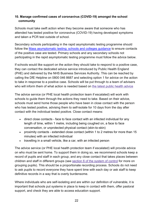## **10. Manage confirmed cases of coronavirus (COVID-19) amongst the school community**

Schools must take swift action when they become aware that someone who has attended has tested positive for coronavirus (COVID-19) having developed symptoms and taken a PCR test outside of school.

Secondary schools participating in the rapid asymptomatic testing programme should follow the [Mass asymptomatic testing: schools and colleges guidance](https://www.gov.uk/guidance/asymptomatic-testing-in-schools-and-colleges) to ensure contacts of the positive case are tested. Primary schools and any secondary schools not participating in the rapid asymptomatic testing programme must follow the advice below.

If schools would like support on the action they should take to respond to a positive case, they can contact the dedicated advice service introduced by Public Health England (PHE) and delivered by the NHS Business Services Authority. This can be reached by calling the DfE Helpline on 0800 046 8687 and selecting option 1 for advice on the action to take in response to a positive case. Schools will be put through to a team of advisers who will inform them of what action is needed based on the latest public health [advice](https://assets.publishing.service.gov.uk/government/uploads/system/uploads/attachment_data/file/943707/Symptomatic_children_action_list_schools.pdf)

The advice service (or PHE local health protection team if escalated) will work with schools to guide them through the actions they need to take. Based on their advice, schools must send home those people who have been in close contact with the person who has tested positive, advising them to self-isolate for 10 days from the day after contact with the individual tested positive. Close contact means:

- direct close contacts face to face contact with an infected individual for any length of time, within 1 metre, including being coughed on, a face to face conversation, or unprotected physical contact (skin-to-skin)
- proximity contacts extended close contact (within 1 to 2 metres for more than 15 minutes) with an infected individual
- travelling in a small vehicle, like a car, with an infected person

The advice service (or PHE local health protection team if escalated) will provide advice on who must be sent home. To support them in doing so, we recommend schools keep a record of pupils and staff in each group, and any close contact that takes places between children and staff in different groups (see section 6 of [the system of](https://www.gov.uk/government/publications/actions-for-schools-during-the-coronavirus-outbreak/guidance-for-full-opening-schools#five) control for more on grouping pupils). This should be a proportionate recording process. Schools do not need to ask pupils to record everyone they have spent time with each day or ask staff to keep definitive records in a way that is overly burdensome.

Where individuals who are self-isolating and are within our definition of vulnerable, it is important that schools put systems in place to keep in contact with them, offer pastoral support, and check they are able to access education support.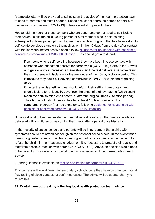A template letter will be provided to schools, on the advice of the health protection team, to send to parents and staff if needed. Schools must not share the names or details of people with coronavirus (COVID-19) unless essential to protect others.

Household members of those contacts who are sent home do not need to self-isolate themselves unless the child, young person or staff member who is self-isolating subsequently develops symptoms. If someone in a class or group that has been asked to self-isolate develops symptoms themselves within the 10-days from the day after contact with the individual tested positive should follow guidance for [households](https://www.gov.uk/government/publications/covid-19-stay-at-home-guidance) with possible or confirmed coronavirus [\(COVID-19\)](https://www.gov.uk/government/publications/covid-19-stay-at-home-guidance) infection. They should get a test, and:

- if someone who is self-isolating because they have been in close contact with someone who has tested positive for coronavirus (COVID-19) starts to feel unwell and gets a test for coronavirus themselves, and the test delivers a negative result, they must remain in isolation for the remainder of the 10-day isolation period. This is because they could still develop coronavirus (COVID-19) within the remaining days.
- if the test result is positive, they should inform their setting immediately, and should isolate for at least 10 days from the onset of their symptoms (which could mean the self-isolation ends before or after the original 10-day isolation period). Their household should self-isolate for at least 10 days from when the symptomatic person first had symptoms, following guidance for [households](https://www.gov.uk/government/publications/covid-19-stay-at-home-guidance) with possible or confirmed coronavirus [\(COVID-19\)](https://www.gov.uk/government/publications/covid-19-stay-at-home-guidance) infection

Schools should not request evidence of negative test results or other medical evidence before admitting children or welcoming them back after a period of self-isolation.

In the majority of cases, schools and parents will be in agreement that a child with symptoms should not attend school, given the potential risk to others. In the event that a parent or guardian insists on a child attending school, schools can take the decision to refuse the child if in their reasonable judgement it is necessary to protect their pupils and staff from possible infection with coronavirus (COVID-19). Any such decision would need to be carefully considered in light of all the circumstances and the current public health advice.

Further guidance is available on testing and tracing for coronavirus [\(COVID-19\).](https://www.nhs.uk/conditions/coronavirus-covid-19/testing-and-tracing/)

This process will look different for secondary schools once they have commenced lateral flow testing of close contacts of confirmed cases. The advice will be update shortly to reflect this.

### **11. Contain any outbreak by following local health protection team advice**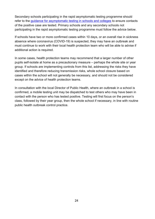Secondary schools participating in the rapid asymptomatic testing programme should refer to the [guidance for asymptomatic testing in schools and colleges](https://www.gov.uk/guidance/asymptomatic-testing-in-schools-and-colleges) to ensure contacts of the positive case are tested. Primary schools and any secondary schools not participating in the rapid asymptomatic testing programme must follow the advice below.

If schools have two or more confirmed cases within 10 days, or an overall rise in sickness absence where coronavirus (COVID-19) is suspected, they may have an outbreak and must continue to work with their local health protection team who will be able to advise if additional action is required.

In some cases, health protection teams may recommend that a larger number of other pupils self-isolate at home as a precautionary measure – perhaps the whole site or year group. If schools are implementing controls from this list, addressing the risks they have identified and therefore reducing transmission risks, whole school closure based on cases within the school will not generally be necessary, and should not be considered except on the advice of health protection teams.

In consultation with the local Director of Public Health, where an outbreak in a school is confirmed, a mobile testing unit may be dispatched to test others who may have been in contact with the person who has tested positive. Testing will first focus on the person's class, followed by their year group, then the whole school if necessary, in line with routine public health outbreak control practice.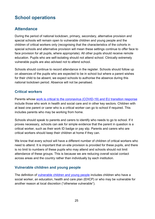# <span id="page-24-0"></span>**School operations**

# <span id="page-24-1"></span>**Attendance**

During the period of national lockdown, primary, secondary, alternative provision and special schools will remain open to vulnerable children and young people and the children of critical workers only (recognising that the characteristics of the cohorts in special schools and alternative provision will mean these settings continue to offer face to face provision for all pupils, where appropriate). All other pupils should receive remote education. Pupils who are self-isolating should not attend school. Clinically extremely vulnerable pupils are also advised not to attend school.

Schools should continue to record attendance in the register. Schools should follow up on absences of the pupils who are expected to be in school but where a parent wishes for their child to be absent, we expect schools to authorise the absence during this national lockdown period. Absence will not be penalised.

## **Critical workers**

Parents whose [work is critical to the coronavirus \(COVID-19\) and EU transition response](https://www.gov.uk/government/publications/coronavirus-covid-19-maintaining-educational-provision/guidance-for-schools-colleges-and-local-authorities-on-maintaining-educational-provision) include those who work in health and social care and in other key sectors. Children with at least one parent or carer who is a critical worker can go to school if required. This includes parents who may be working from home.

Schools should speak to parents and carers to identify who needs to go to school. If it proves necessary, schools can ask for simple evidence that the parent in question is a critical worker, such as their work ID badge or pay slip. Parents and carers who are critical workers should keep their children at home if they can.

We know that every school will have a different number of children of critical workers who need to attend. It is important that on-site provision is provided for these pupils, and there is no limit to numbers of these pupils who may attend and schools should not limit attendance of these groups. This is because we are reducing overall social contact across areas and the country rather than individually by each institution.

## **Vulnerable children and young people**

The definition of [vulnerable children and young people](https://www.gov.uk/government/publications/coronavirus-covid-19-maintaining-educational-provision/guidance-for-schools-colleges-and-local-authorities-on-maintaining-educational-provision#vulnerable-children-and-young-people) includes children who have a social worker, an education, health and care plan (EHCP) or who may be vulnerable for another reason at local discretion ("otherwise vulnerable").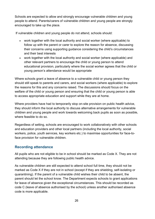Schools are expected to allow and strongly encourage vulnerable children and young people to attend. Parents/carers of vulnerable children and young people are strongly encouraged to take up the place.

If vulnerable children and young people do not attend, schools should:

- work together with the local authority and social worker (where applicable) to follow up with the parent or carer to explore the reason for absence, discussing their concerns using supporting guidance considering the child's circumstances and their best interests
- work together with the local authority and social worker (where applicable) and other relevant partners to encourage the child or young person to attend educational provision, particularly where the social worker agrees that the child or young person's attendance would be appropriate

Where schools grant a leave of absence to a vulnerable child or young person they should still speak to parents and carers, and social workers (where applicable) to explore the reasons for this and any concerns raised. The discussions should focus on the welfare of the child or young person and ensuring that the child or young person is able to access appropriate education and support while they are at home.

Where providers have had to temporarily stop on-site provision on public health advice, they should inform the local authority to discuss alternative arrangements for vulnerable children and young people and work towards welcoming back pupils as soon as possible, where feasible to do so.

Regardless of setting, schools are encouraged to work collaboratively with other schools and education providers and other local partners (including the local authority, social workers, police, youth services, key workers etc.) to maximise opportunities for face-toface provision for vulnerable children.

## **Recording attendance**

All pupils who are not eligible to be in school should be marked as Code X. They are not attending because they are following public health advice.

As vulnerable children are still expected to attend school full time, they should not be marked as Code X if they are not in school (except if they are shielding, self-isolating or quarantining). If the parent of a vulnerable child wishes their child to be absent, the parent should let the school know. The Department expects schools to grant applications for leave of absence given the exceptional circumstances. This should be recorded as code C (leave of absence authorised by the school) unless another authorised absence code is more applicable.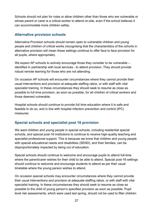Schools should not plan for rotas or allow children other than those who are vulnerable or whose parent or carer is a critical worker to attend on-site, even if the school believes it can accommodate more children safely.

## **Alternative provision schools**

Alternative Provision schools should remain open to vulnerable children and young people and children of critical works (recognising that the characteristics of the cohorts in alternative provision will mean these settings continue to offer face to face provision for all pupils, where appropriate).

We expect AP schools to actively encourage those they consider to be vulnerable – identified in partnership with local services - to attend provision. They should provide robust remote learning for those who are not attending.

On occasion AP schools will encounter circumstances where they cannot provide their usual interventions and provision at adequate staffing ratios, or with staff with vital specialist training. In these circumstances they should seek to resume as close as possible to full time provision, as soon as possible, for all children of critical workers and those deemed vulnerable.

Hospital schools should continue to provide full time education where it is safe and feasible to do so, and in line with hospital infection prevention and control (IPC) measures.

## **Special schools and specialist post 16 provision**

We want children and young people in special schools, including residential special schools, and special post-16 institutions to continue to receive high-quality teaching and specialist professional support. This is because we know that children and young people with special educational needs and disabilities (SEND), and their families, can be disproportionately impacted by being out of education.

Special schools should continue to welcome and encourage pupils to attend full-time where the parent/carer wishes for their child to be able to attend. Special post-16 settings should continue to welcome and encourage students to attend as per their usual timetable where the young person wishes to attend.

On occasion special schools may encounter circumstances where they cannot provide their usual interventions and provision at adequate staffing ratios, or with staff with vital specialist training. In these circumstances they should seek to resume as close as possible to the child of young person's specified provision as soon as possible. Pupil level risk assessments, which were used last spring, should not be used to filter children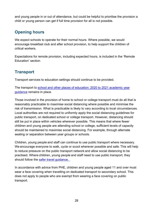and young people in or out of attendance, but could be helpful to prioritise the provision a child or young person can get if full time provision for all is not possible.

# <span id="page-27-0"></span>**Opening hours**

We expect schools to operate for their normal hours. Where possible, we would encourage breakfast club and after school provision, to help support the children of critical workers.

Expectations for remote provision, including expected hours, is included in the 'Remote Education' section.

# <span id="page-27-1"></span>**Transport**

Transport services to education settings should continue to be provided.

The transport to [school and other places of education: 2020 to 2021 academic year](https://www.gov.uk/government/publications/transport-to-school-and-other-places-of-education-autumn-term-2020/transport-to-school-and-other-places-of-education-autumn-term-2020)  [guidance](https://www.gov.uk/government/publications/transport-to-school-and-other-places-of-education-autumn-term-2020/transport-to-school-and-other-places-of-education-autumn-term-2020) remains in place.

Those involved in the provision of home to school or college transport must do all that is reasonably practicable to maximise social distancing where possible and minimise the risk of transmission. What is practicable is likely to vary according to local circumstances. Local authorities are not required to uniformly apply the social distancing guidelines for public transport, on dedicated school or college transport. However, distancing should still be put in place within vehicles wherever possible. This means that where fewer children and young people are attending school or college, sufficient levels of capacity should be maintained to maximise social distancing. For example, through alternate seating or separation between year groups or schools.

Children, young people and staff can continue to use public transport where necessary. We encourage everyone to walk, cycle or scoot wherever possible and safe. This will help to reduce pressure on the public transport network and allow social distancing to be practised. Where children, young people and staff need to use public transport, they should follow the [safer travel guidance.](http://www.gov.uk/guidance/coronaviruscovid-19-safer-travel-guidance-for-passengers)

In accordance with advice from PHE, children and young people aged 11 and over must wear a face covering when travelling on dedicated transport to secondary school. This does not apply to people who are exempt from wearing a face covering on public transport.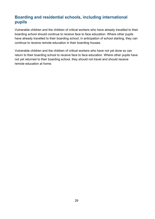## <span id="page-28-0"></span>**Boarding and residential schools, including international pupils**

Vulnerable children and the children of critical workers who have already travelled to their boarding school should continue to receive face to face education. Where other pupils have already travelled to their boarding school, in anticipation of school starting, they can continue to receive remote education in their boarding houses.

Vulnerable children and the children of critical workers who have not yet done so can return to their boarding school to receive face to face education. Where other pupils have not yet returned to their boarding school, they should not travel and should receive remote education at home.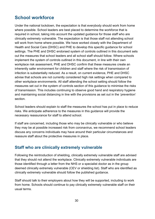# <span id="page-29-0"></span>**School workforce**

Under the national lockdown, the expectation is that everybody should work from home where possible. School leaders are best placed to determine the workforce that is required in school, taking into account the updated guidance for those staff who are clinically extremely vulnerable. The expectation is that those staff not attending school will work from home where possible. We have worked closely with the Department of Health and Social Care (DHSC) and PHE to develop this specific guidance for school settings. The PHE and DHSC endorsed system of controls outlined in this document sets out the measures that school leaders and all school staff should follow. Where schools implement the system of controls outlined in this document, in line with their own workplace risk assessment, PHE and DHSC confirm that these measures create an inherently safer environment for children and staff where the risk of transmission of infection is substantially reduced. As a result, on current evidence, PHE and DHSC advise that schools are not currently considered high risk settings when compared to other workplace environments. All staff attending the school setting should follow the measures set out in the system of controls section of this guidance to minimise the risks of transmission. This includes continuing to observe good hand and respiratory hygiene and maintaining social distancing in line with the provisions as set out in the 'prevention' section.

School leaders should explain to staff the measures the school has put in place to reduce risks. We anticipate adherence to the measures in this guidance will provide the necessary reassurance for staff to attend school.

If staff are concerned, including those who may be clinically vulnerable or who believe they may be at possible increased risk from coronavirus, we recommend school leaders discuss any concerns individuals may have around their particular circumstances and reassure staff about the protective measures in place.

# <span id="page-29-1"></span>**Staff who are clinically extremely vulnerable**

Following the reintroduction of shielding, clinically extremely vulnerable staff are advised that they should not attend the workplace. Clinically extremely vulnerable individuals are those identified through a letter from the NHS or a specialist doctor as in the group deemed clinically extremely vulnerable (CEV or shielding list). Staff who are identified as clinically extremely vulnerable should follow the published guidance.

Staff should talk to their employers about how they will be supported, including to work from home. Schools should continue to pay clinically extremely vulnerable staff on their usual terms.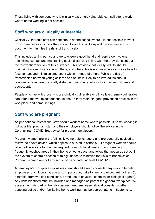Those living with someone who is clinically extremely vulnerable can still attend work where home-working is not possible.

## <span id="page-30-0"></span>**Staff who are clinically vulnerable**

Clinically vulnerable staff can continue to attend school where it is not possible to work from home. While in school they should follow the sector-specific measures in this document to minimise the risks of transmission.

This includes taking particular care to observe good hand and respiratory hygiene, minimising contact and maintaining social distancing in line with the provisions set out in the 'prevention' section of this guidance. This provides that ideally, adults should maintain 2 metre distance from others, and where this is not possible avoid close face to face contact and minimise time spent within 1 metre of others. While the risk of transmission between young children and adults is likely to be low, adults should continue to take care to socially distance from other adults including older children and adolescents.

People who live with those who are clinically vulnerable or clinically extremely vulnerable can attend the workplace but should ensure they maintain good prevention practice in the workplace and home settings.

## <span id="page-30-1"></span>**Staff who are pregnant**

As per national restrictions, staff should work at home where possible. If home working is not possible, pregnant staff and their employers should follow the advice in the Coronavirus (COVID-19): advice for pregnant employees.

Pregnant women are in the 'clinically vulnerable' category and are generally advised to follow the above advice, which applies to all staff in schools. All pregnant women should take particular care to practise frequent thorough hand washing, and cleaning of frequently touched areas in their home or workspace, and follow the measures set out in the system of controls section of this guidance to minimise the risks of transmission. Pregnant women are not advised to be vaccinated against COVID-19.

An employer's workplace risk assessment should already consider any risks to female employees of childbearing age and, in particular, risks to new and expectant mothers (for example, from working conditions, or the use of physical, chemical or biological agents). Any risks identified must be included and managed as part of the general workplace risk assessment. As part of their risk assessment, employers should consider whether adapting duties and/or facilitating home working may be appropriate to mitigate risks.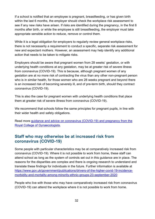If a school is notified that an employee is pregnant, breastfeeding, or has given birth within the last 6 months, the employer should check the workplace risk assessment to see if any new risks have arisen. If risks are identified during the pregnancy, in the first 6 months after birth, or while the employee is still breastfeeding, the employer must take appropriate sensible action to reduce, remove or control them.

While it is a legal obligation for employers to regularly review general workplace risks, there is not necessarily a requirement to conduct a specific, separate risk assessment for new and expectant mothers. However, an assessment may help identify any additional action that needs to be taken to mitigate risks.

Employers should be aware that pregnant women from 28 weeks' gestation, or with underlying health conditions at any gestation, may be at greater risk of severe illness from coronavirus (COVID-19). This is because, although pregnant women of any gestation are at no more risk of contracting the virus than any other non-pregnant person who is in similar health, for those women who are 28 weeks pregnant and beyond there is an increased risk of becoming severely ill, and of pre-term birth, should they contract coronavirus (COVID-19).

This is also the case for pregnant women with underlying health conditions that place them at greater risk of severe illness from coronavirus (COVID-19).

We recommend that schools follow the same principles for pregnant pupils, in line with their wider health and safety obligations.

Read more guidance [and advice on coronavirus \(COVID-19\) and pregnancy from the](https://www.rcog.org.uk/en/guidelines-research-services/guidelines/coronavirus-pregnancy/covid-19-virus-infection-and-pregnancy/)  [Royal College of Gynaecologists.](https://www.rcog.org.uk/en/guidelines-research-services/guidelines/coronavirus-pregnancy/covid-19-virus-infection-and-pregnancy/)

## <span id="page-31-0"></span>**Staff who may otherwise be at increased risk from coronavirus (COVID-19)**

Some people with particular characteristics may be at comparatively increased risk from coronavirus (COVID-19). Where it is not possible to work from home, these staff can attend school as long as the system of controls set out in this guidance are in place. The reasons for the disparities are complex and there is ongoing research to understand and translate these findings for individuals in the future. Further information is available at [https://www.gov.uk/government/publications/drivers-of-the-higher-covid-19-incidence](https://www.gov.uk/government/publications/drivers-of-the-higher-covid-19-incidence-morbidity-and-mortality-among-minority-ethnic-groups-23-september-2020)[morbidity-and-mortality-among-minority-ethnic-groups-23-september-2020](https://www.gov.uk/government/publications/drivers-of-the-higher-covid-19-incidence-morbidity-and-mortality-among-minority-ethnic-groups-23-september-2020)

People who live with those who may have comparatively increased risk from coronavirus (COVID-19) can attend the workplace where it is not possible to work from home.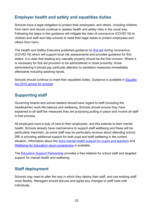# <span id="page-32-0"></span>**Employer health and safety and equalities duties**

Schools have a legal obligation to protect their employees, and others, including children, from harm and should continue to assess health and safety risks in the usual way. Following the steps in this guidance will mitigate the risks of coronavirus (COVID-19) to children and staff and help schools to meet their legal duties to protect employees and others from harm.

The Health and Safety Executive published guidance on [first aid](https://www.hse.gov.uk/coronavirus/first-aid-and-medicals/first-aid-certificate-coronavirus.htm) during coronavirus (COVID-19) which will support local risk assessments and provides guidance for first aiders. It is clear that treating any casualty properly should be the first concern. Where it is necessary for first aid provision to be administered in close proximity, those administering it should pay particular attention to sanitation measures immediately afterwards including washing hands.

Schools should continue to meet their equalities duties. Guidance is available in Equality [Act 2010 advice for schools.](https://www.gov.uk/government/publications/equality-act-2010-advice-for-schools)

# <span id="page-32-1"></span>**Supporting staff**

Governing boards and school leaders should have regard to staff (including the headteacher) work-life balance and wellbeing. Schools should ensure they have explained to all staff the measures they are proposing putting in place and involve all staff in that process.

All employers have a duty of care to their employees, and this extends to their mental health. Schools already have mechanisms to support staff wellbeing and these will be particularly important, as some staff may be particularly anxious about attending school. DfE is providing additional support for both pupil and staff wellbeing in the current situation. Information about the [extra mental health support for pupils and teachers](https://www.gov.uk/government/news/extra-mental-health-support-for-pupils-and-teachers) and [Wellbeing for Education return programme](https://www.gov.uk/government/publications/wellbeing-for-education-return-grant-s31-grant-determination-letter) is available.

The [Education Support Partnership](http://www.educationsupport.org.uk/) provides a free helpline for school staff and targeted support for mental health and wellbeing.

# <span id="page-32-2"></span>**Staff deployment**

Schools may need to alter the way in which they deploy their staff, and use existing staff more flexibly. Managers should discuss and agree any changes to staff roles with individuals.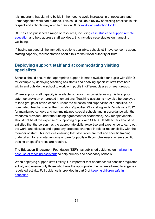It is important that planning builds in the need to avoid increases in unnecessary and unmanageable workload burdens. This could include a review of existing practices in this respect and schools may wish to draw on DfE's [workload reduction toolkit.](https://www.gov.uk/guidance/school-workload-reduction-toolkit)

DfE has also published a range of resources, including [case studies to support remote](https://www.gov.uk/government/collections/case-studies-remote-education-practice-for-schools-during-coronavirus-covid-19)  [education](https://www.gov.uk/government/collections/case-studies-remote-education-practice-for-schools-during-coronavirus-covid-19) and help address staff workload, this includes case studies on managing wellbeing.

If, having pursued all the immediate options available, schools still have concerns about staffing capacity, representatives should talk to their local authority or trust.

## <span id="page-33-0"></span>**Deploying support staff and accommodating visiting specialists**

Schools should ensure that appropriate support is made available for pupils with SEND, for example by deploying teaching assistants and enabling specialist staff from both within and outside the school to work with pupils in different classes or year groups.

Where support staff capacity is available, schools may consider using this to support catch-up provision or targeted interventions. Teaching assistants may also be deployed to lead groups or cover lessons, under the direction and supervision of a qualified, or nominated, teacher (under the Education (Specified Work) (England) Regulations 2012 for maintained schools and non-maintained special schools and in accordance with the freedoms provided under the funding agreement for academies). Any redeployments should not be at the expense of supporting pupils with SEND. Headteachers should be satisfied that the person has the appropriate skills, expertise and experience to carry out the work, and discuss and agree any proposed changes in role or responsibility with the member of staff. This includes ensuring that safe ratios are met and specific training undertaken, for any interventions or care for pupils with complex needs where specific training or specific ratios are required.

The Education Endowment Foundation (EEF) has published guidance on [making the](https://educationendowmentfoundation.org.uk/tools/guidance-reports/making-best-use-of-teaching-assistants/)  [best use of teaching assistants](https://educationendowmentfoundation.org.uk/tools/guidance-reports/making-best-use-of-teaching-assistants/) to help primary and secondary schools.

When deploying support staff flexibly it is important that headteachers consider regulated activity and ensure only those who have the appropriate checks are allowed to engage in regulated activity. Full guidance is provided in part 3 of [keeping children safe in](https://www.gov.uk/government/publications/keeping-children-safe-in-education--2)  [education.](https://www.gov.uk/government/publications/keeping-children-safe-in-education--2)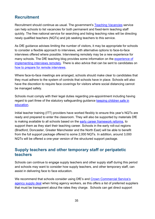## <span id="page-34-0"></span>**Recruitment**

Recruitment should continue as usual. The government's [Teaching Vacancies](https://teaching-vacancies.service.gov.uk/) service can help schools to list vacancies for both permanent and fixed-term teaching staff quickly. The free national service for searching and listing teaching roles will be directing newly qualified teachers (NQTs) and job seeking teachers to this service.

As DfE guidance advises limiting the number of visitors, it may be appropriate for schools to consider a flexible approach to interviews, with alternative options to face-to-face interviews offered where possible. Interviewing remotely may be a new experience for many schools. The DfE teaching blog provides some information on the [experience of](https://teaching.blog.gov.uk/2020/05/29/recruiting-during-lockdown-how-we-did-it/)  [implementing interviews remotely.](https://teaching.blog.gov.uk/2020/05/29/recruiting-during-lockdown-how-we-did-it/) There is also advice that can be sent to candidates on [how to prepare for remote interviews.](https://teaching.blog.gov.uk/2020/06/12/attending-your-first-remote-interview/)

Where face-to-face meetings are arranged, schools should make clear to candidates that they must adhere to the system of controls that schools have in place. Schools will also have the discretion to require face coverings for visitors where social distancing cannot be managed safely.

Schools must comply with their legal duties regarding pre-appointment including having regard to part three of the statutory safeguarding guidance keeping children safe in [education.](https://www.gov.uk/government/publications/keeping-children-safe-in-education--2)

Initial teacher training (ITT) providers have worked flexibly to ensure this year's NQTs are ready and prepared to enter the classroom. They will also be supported by materials DfE is making available to all schools based on the [early career framework reforms,](https://www.gov.uk/government/collections/early-career-framework-reforms) to support them as they start their teaching career. Schools in the early roll-out regions (Bradford, Doncaster, Greater Manchester and the North East) will be able to benefit from the full support package offered to some 2,000 NQTs. In addition, around 3,000 NQTs will be offered a one-year version of the structured support package.

## <span id="page-34-1"></span>**Supply teachers and other temporary staff or peripatetic teachers**

Schools can continue to engage supply teachers and other supply staff during this period and schools may want to consider how supply teachers, and other temporary staff, can assist in delivering face to face education.

We recommend that schools consider using DfE's and [Crown Commercial Service's](https://www.gov.uk/guidance/deal-for-schools-hiring-supply-teachers-and-agency-workers)  [agency supply deal](https://www.gov.uk/guidance/deal-for-schools-hiring-supply-teachers-and-agency-workers) when hiring agency workers, as this offers a list of preferred suppliers that must be transparent about the rates they charge. Schools can get direct support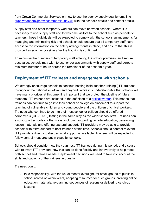from Crown Commercial Services on how to use the agency supply deal by emailing [supplyteachers@crowncommercial.gov.uk](mailto:supplyteachers@crowncommercial.gov.uk) with the school's details and contact details.

Supply staff and other temporary workers can move between schools, where it is necessary to use supply staff and to welcome visitors to the school such as peripatetic teachers, those individuals will be expected to comply with the school's arrangements for managing and minimising risk and schools should ensure that all temporary staff have access to the information on the safety arrangements in place, and ensure that this is provided as soon as possible after the booking is confirmed.

To minimise the numbers of temporary staff entering the school premises, and secure best value, schools may wish to use longer assignments with supply staff and agree a minimum number of hours across the remainder of the academic year.

## <span id="page-35-0"></span>**Deployment of ITT trainees and engagement with schools**

We strongly encourage schools to continue hosting initial teacher training (ITT) trainees throughout the national lockdown and beyond. While it is understandable that schools will have many priorities at this time, it is important that we protect the pipeline of future teachers. ITT trainees are included in the definition of a [critical worker.](https://www.gov.uk/government/publications/coronavirus-covid-19-initial-teacher-training-itt/coronavirus-covid-19-initial-teacher-training-itt#critical-workers) This means that trainees can continue to go into their school or college on placement to support the teaching of vulnerable children and young people and the children of critical workers. Trainees who continue to go into their host school or college should be offered coronavirus (COVID-19) testing in the same way as the wider school staff. Trainees can also support schools in other ways, including supporting remote education, developing lesson materials and offering pastoral support. ITT providers may be able to provide schools with extra support to host trainees at this time. Schools should contact relevant ITT providers directly to discuss what support is available. Trainees will be expected to follow control measures put in place by schools.

Schools should consider how they can host ITT trainees during this period, and discuss with relevant ITT providers how this can be done flexibly and innovatively to help meet both school and trainee needs. Deployment decisions will need to take into account the skills and capacity of the trainees in question.

Trainees could:

• take responsibility, with the usual mentor oversight, for small groups of pupils in school across or within years, adapting resources for such groups, creating online education materials, re-planning sequences of lessons or delivering catch-up lessons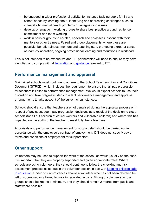- be engaged in wider professional activity, for instance tackling pupil, family and school needs by learning about, identifying and addressing challenges such as vulnerability, mental health problems or safeguarding issues
- develop or engage in working groups to share best practice around resilience, commitment and team-working
- work in pairs or groups to co-plan, co-teach and co-assess lessons with their mentors or other trainees. Paired and group placements, where these are possible, benefit trainees, mentors and teaching staff, promoting a greater sense of team collaboration, ongoing professional learning and reductions in workload

This is not intended to be exhaustive and ITT partnerships will need to ensure they have identified and comply with all **[legislation](https://www.legislation.gov.uk/uksi/2012/762/schedule/paragraph/6/made)** and [guidance](https://www.gov.uk/government/publications/actions-for-schools-during-the-coronavirus-outbreak/guidance-for-full-opening-schools#school-workforce) relevant to ITT.

## <span id="page-36-0"></span>**Performance management and appraisal**

Maintained schools must continue to adhere to the School Teachers' Pay and Conditions Document (STPCD), which includes the requirement to ensure that all pay progression for teachers is linked to performance management. We would expect schools to use their discretion and take pragmatic steps to adapt performance management and appraisal arrangements to take account of the current circumstances.

Schools should ensure that teachers are not penalised during the appraisal process or in respect of any subsequent pay progression decisions as a result of the decision to close schools (for all but children of critical workers and vulnerable children) and where this has impacted on the ability of the teacher to meet fully their objectives.

Appraisals and performance management for support staff should be carried out in accordance with the employee's contract of employment. DfE does not specify pay or terms and conditions of employment for support staff.

# <span id="page-36-1"></span>**Other support**

Volunteers may be used to support the work of the school, as would usually be the case. It is important that they are properly supported and given appropriate roles. Where schools are using volunteers, they should continue to follow the checking and risk assessment process as set out in the volunteer section in part 3 of keeping children safe [in education.](https://www.gov.uk/government/publications/keeping-children-safe-in-education--2) Under no circumstances should a volunteer who has not been checked be left unsupervised or allowed to work in regulated activity. Mixing of volunteers across groups should be kept to a minimum, and they should remain 2 metres from pupils and staff where possible.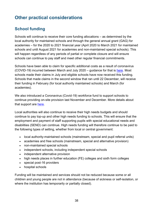# <span id="page-37-0"></span>**Other practical considerations**

# <span id="page-37-1"></span>**School funding**

Schools will continue to receive their core funding allocations – as determined by the local authority for maintained schools and through the general annual grant (GAG) for academies – for the 2020 to 2021 financial year (April 2020 to March 2021 for maintained schools and until August 2021 for academies and non-maintained special schools). This will happen regardless of any periods of partial or complete closure and will ensure schools can continue to pay staff and meet other regular financial commitments.

Schools have been able to claim for specific additional costs as a result of coronavirus (COVID-19) incurred between March and July 2020 – guidance for that is [here.](https://www.gov.uk/government/publications/coronavirus-covid-19-financial-support-for-schools/school-funding-exceptional-costs-associated-with-coronavirus-covid-19-for-the-period-march-to-july-2020) Most schools made their claims in July and eligible schools have now received this funding. Schools that made claims in the second window that ran until 22 December, will receive their funding in February (for local authority maintained schools) and March (for academies).

We also introduced a Coronavirus (Covid-19) workforce fund to support schools to continue providing on-site provision last November and December. More details about that support are [here.](https://www.gov.uk/government/publications/coronavirus-covid-19-workforce-fund-for-schools/coronavirus-covid-19-workforce-fund-to-support-schools-with-costs-of-staff-absences-from-1-november-2020-to-31-december-2020)

Local authorities will also continue to receive their high needs budgets and should continue to pay top-up and other high needs funding to schools. This will ensure that the employment and payment of staff supporting pupils with special educational needs and disabilities (SEND) can continue. High needs funding will therefore continue to be paid to the following types of setting, whether from local or central government:

- local authority-maintained schools (mainstream, special and pupil referral units)
- academies and free schools (mainstream, special and alternative provision)
- non-maintained special schools
- independent schools, including independent special schools
- independent alternative provision
- high needs places in further education (FE) colleges and sixth form colleges
- special post-16 providers
- hospital schools

Funding will be maintained and services should not be reduced because some or all children and young people are not in attendance (because of sickness or self-isolation, or where the institution has temporarily or partially closed).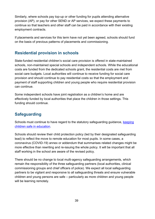Similarly, where schools pay top-up or other funding for pupils attending alternative provision (AP), or pay for other SEND or AP services, we expect these payments to continue so that teachers and other staff can be paid in accordance with their existing employment contracts.

If placements and services for this term have not yet been agreed, schools should fund on the basis of previous patterns of placements and commissioning.

## <span id="page-38-0"></span>**Residential provision in schools**

State-funded residential children's social care provision is offered in state-maintained schools, non-maintained special schools and independent schools. While the educational costs are funded from the dedicated schools grant, the residential costs are met from social care budgets. Local authorities will continue to receive funding for social care provision and should continue to pay residential costs so that the employment and payment of staff supporting children and young people who require residential provision can continue.

Some independent schools have joint registration as a children's home and are effectively funded by local authorities that place the children in those settings. This funding should continue.

# <span id="page-38-1"></span>**Safeguarding**

Schools must continue to have regard to the statutory safeguarding guidance, [keeping](https://www.gov.uk/government/publications/keeping-children-safe-in-education--2)  [children safe in education.](https://www.gov.uk/government/publications/keeping-children-safe-in-education--2)

Schools should review their child protection policy (led by their designated safeguarding lead) to reflect the move to remote education for most pupils. In some cases, a coronavirus (COVID-19) annex or addendum that summarises related changes might be more effective than rewriting and re-issuing the whole policy. It will be important that all staff working in the school are aware of the revised policy.

There should be no change to local multi-agency safeguarding arrangements, which remain the responsibility of the three safeguarding partners (local authorities, clinical commissioning groups and chief officers of police). We expect all local safeguarding partners to be vigilant and responsive to all safeguarding threats and ensure vulnerable children and young persons are safe – particularly as more children and young people will be learning remotely.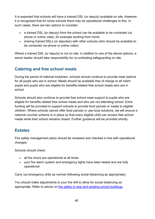It is expected that schools will have a trained DSL (or deputy) available on site. However, it is recognised that for some schools there may be operational challenges to this. In such cases, there are two options to consider:

- a trained DSL (or deputy) from the school can be available to be contacted via phone or online video, for example working from home
- sharing trained DSLs (or deputies) with other schools (who should be available to be contacted via phone or online video)

Where a trained DSL (or deputy) is not on site, in addition to one of the above options, a senior leader should take responsibility for co-ordinating safeguarding on site.

# <span id="page-39-0"></span>**Catering and free school meals**

During the period of national lockdown, schools should continue to provide meal options for all pupils who are in school. Meals should be available free of charge to all infant pupils and pupils who are eligible for benefits-related free school meals who are in school.

Schools should also continue to provide free school meal support to pupils who are eligible for benefits related free school meals and who are not attending school. Extra funding will be provided to support schools to provide food parcels or meals to eligible children. Where schools cannot offer food parcels or use local solutions, we will ensure a national voucher scheme is in place so that every eligible child can access free school meals while their school remains closed. Further guidance will be provided shortly.

## <span id="page-39-1"></span>**Estates**

Fire safety management plans should be reviewed and checked in line with operational changes.

Schools should check:

- all fire doors are operational at all times
- your fire alarm system and emergency lights have been tested and are fully operational

Carry out emergency drills as normal (following social distancing as appropriate).

You should make adjustments to your fire drill to allow for social distancing as appropriate. Refer to advice on [fire safety in new and existing school buildings](https://www.gov.uk/government/publications/fire-safety-in-new-and-existing-school-buildings)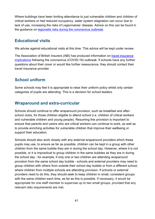Where buildings have been limiting attendance to just vulnerable children and children of critical workers or had reduced occupancy, water system stagnation can occur due to lack of use, increasing the risks of Legionnaires' disease. Advice on this can be found in the guidance on [legionella risks during the coronavirus outbreak.](https://www.hse.gov.uk/coronavirus/legionella-risks-during-coronavirus-outbreak.htm)

## <span id="page-40-0"></span>**Educational visits**

We advise against educational visits at this time. This advice will be kept under review.

The Association of British Insurers (ABI) has produced information on [travel insurance](https://www.abi.org.uk/products-and-issues/topics-and-issues/coronavirus-qa/)  [implications](https://www.abi.org.uk/products-and-issues/topics-and-issues/coronavirus-qa/) following the coronavirus (COVID-19) outbreak. If schools have any further questions about their cover or would like further reassurance, they should contact their travel insurance provider.

## <span id="page-40-1"></span>**School uniform**

Some schools may feel it is appropriate to relax their uniform policy whilst only certain categories of pupils are attending. This is a decision for school leaders.

## <span id="page-40-2"></span>**Wraparound and extra-curricular**

Schools should continue to offer wraparound provision, such as breakfast and afterschool clubs, for those children eligible to attend school (i.e. children of critical workers and vulnerable children and young people). Resuming this provision is important to ensure that parents and carers who are critical workers can continue to work, as well as to provide enriching activities for vulnerable children that improve their wellbeing or support their education.

Schools should also work closely with any external wraparound providers which these pupils may use, to ensure as far as possible, children can be kept in a group with other children from the same bubble they are in during the school day. However, where it is not possible, or it is impractical to group children in the same bubbles as they are in during the school day - for example, if only one or two children are attending wraparound provision from the same school day bubble - schools and external providers may need to group children with others from outside their school day bubble or from a different school, where children from multiple schools are attending provision. If schools or external providers need to do this, they should seek to keep children in small, consistent groups with the same children each time, as far as this is possible. If necessary, it would be appropriate for one staff member to supervise up to two small groups, provided that any relevant ratio requirements are met.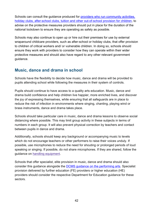Schools can consult the guidance produced for [providers who run community activities,](https://www.gov.uk/government/publications/protective-measures-for-holiday-or-after-school-clubs-and-other-out-of-school-settings-for-children-during-the-coronavirus-covid-19-outbreak/protective-measures-for-out-of-school-settings-during-the-coronavirus-covid-19-outbreak)  [holiday clubs, after-school clubs, tuition and other out-of-school provision for children,](https://www.gov.uk/government/publications/protective-measures-for-holiday-or-after-school-clubs-and-other-out-of-school-settings-for-children-during-the-coronavirus-covid-19-outbreak/protective-measures-for-out-of-school-settings-during-the-coronavirus-covid-19-outbreak) to advise on the protective measures providers should put in place for the duration of the national lockdown to ensure they are operating as safely as possible.

Schools may also continue to open up or hire out their premises for use by external wraparound childcare providers, such as after-school or holiday clubs, that offer provision to children of critical workers and/ or vulnerable children. In doing so, schools should ensure they work with providers to consider how they can operate within their wider protective measures and should also have regard to any other relevant government guidance.

## <span id="page-41-0"></span>**Music, dance and drama in school**

Schools have the flexibility to decide how music, dance and drama will be provided to pupils attending school while following the measures in their system of controls.

Pupils should continue to have access to a quality arts education. Music, dance and drama build confidence and help children live happier, more enriched lives, and discover the joy of expressing themselves, while ensuring that all safeguards are in place to reduce the risk of infection in environments where singing, chanting, playing wind or brass instruments, dance and drama takes place.

Schools should take particular care in music, dance and drama lessons to observe social distancing where possible. This may limit group activity in these subjects in terms of numbers in each group. It will also prevent physical correction by teachers and contact between pupils in dance and drama.

Additionally, schools should keep any background or accompanying music to levels which do not encourage teachers or other performers to raise their voices unduly. If possible, use microphones to reduce the need for shouting or prolonged periods of loud speaking or singing. If possible, do not share microphones. If they are shared, follow the guidance on handling [equipment.](https://www.gov.uk/government/publications/actions-for-schools-during-the-coronavirus-outbreak/guidance-for-full-opening-schools#handling-equipment)

Schools that offer specialist, elite provision in music, dance and drama should also consider this guidance alongside the [DCMS guidance on the performing arts.](https://www.gov.uk/guidance/working-safely-during-coronavirus-covid-19/performing-arts) Specialist provision delivered by further education (FE) providers or higher education (HE) providers should consider the respective Department for Education guidance for these sectors.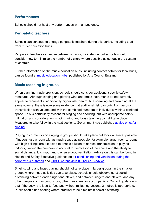## **Performances**

Schools should not host any performances with an audience.

## **Peripatetic teachers**

Schools can continue to engage peripatetic teachers during this period, including staff from music education hubs.

Peripatetic teachers can move between schools, for instance, but schools should consider how to minimise the number of visitors where possible as set out in the system of controls.

Further information on the music education hubs, including contact details for local hubs, can be found at [music education hubs,](https://www.artscouncil.org.uk/music-education/music-education-hubs#section-1) published by Arts Council England.

## **Music teaching in groups**

When planning music provision, schools should consider additional specific safety measures. Although singing and playing wind and brass instruments do not currently appear to represent a significantly higher risk than routine speaking and breathing at the same volume, there is now some evidence that additional risk can build from aerosol transmission with volume and with the combined numbers of individuals within a confined space. This is particularly evident for singing and shouting, but with appropriate safety mitigation and consideration, singing, wind and brass teaching can still take place. Measures to take follow in the next sections. Government has published [advice on safer](https://www.gov.uk/government/publications/covid-19-suggested-principles-of-safer-singing/covid-19-suggested-principles-of-safer-singing)  [singing.](https://www.gov.uk/government/publications/covid-19-suggested-principles-of-safer-singing/covid-19-suggested-principles-of-safer-singing)

Playing instruments and singing in groups should take place outdoors wherever possible. If indoors, use a room with as much space as possible, for example, larger rooms; rooms with high ceilings are expected to enable dilution of aerosol transmission. If playing indoors, limiting the numbers to account for ventilation of the space and the ability to social distance. It is important to ensure good ventilation. Advice on this can be found in Health and Safety Executive guidance on [air conditioning and ventilation during the](https://www.hse.gov.uk/coronavirus/equipment-and-machinery/air-conditioning-and-ventilation.htm)  [coronavirus outbreak](https://www.hse.gov.uk/coronavirus/equipment-and-machinery/air-conditioning-and-ventilation.htm) and [CIBSE coronavirus \(COVID-19\) advice.](https://www.cibse.org/coronavirus-covid-19/coronavirus,-sars-cov-2,-covid-19-and-hvac-systems)

Singing, wind and brass playing should not take place in larger groups. In the smaller groups where these activities can take place, schools should observe strict social distancing between each singer and player, and between singers and players, and any other people such as conductors, other musicians, or accompanists. Current guidance is that if the activity is face-to-face and without mitigating actions, 2 metres is appropriate. Pupils should use seating where practical to help maintain social distancing.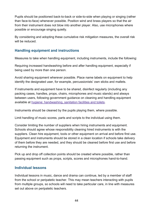Pupils should be positioned back-to-back or side-to-side when playing or singing (rather than face-to-face) whenever possible. Position wind and brass players so that the air from their instrument does not blow into another player. Also, use microphones where possible or encourage singing quietly.

By considering and adopting these cumulative risk mitigation measures, the overall risk will be reduced.

## **Handling equipment and instructions**

Measures to take when handling equipment, including instruments, include the following:

Requiring increased handwashing before and after handling equipment, especially if being used by more than one person.

Avoid sharing equipment wherever possible. Place name labels on equipment to help identify the designated user, for example, percussionists' own sticks and mallets.

If instruments and equipment have to be shared, disinfect regularly (including any packing cases, handles, props, chairs, microphones and music stands) and always between users, following government guidance on cleaning and handling equipment available at hygiene: [handwashing,](https://www.gov.uk/guidance/working-safely-during-coronavirus-covid-19/factories-plants-and-warehouses#factories-5-5) sanitation facilities and toilets.

Instruments should be cleaned by the pupils playing them, where possible.

Limit handling of music scores, parts and scripts to the individual using them.

Consider limiting the number of suppliers when hiring instruments and equipment. Schools should agree whose responsibility cleaning hired instruments is with the suppliers. Clean hire equipment, tools or other equipment on arrival and before first use. Equipment and instruments should be stored in a clean location if schools take delivery of them before they are needed, and they should be cleaned before first use and before returning the instrument.

Pick up and drop off collection points should be created where possible, rather than passing equipment such as props, scripts, scores and microphones hand-to-hand.

## **Individual lessons**

Individual lessons in music, dance and drama can continue, led by a member of staff from the school or peripatetic teacher. This may mean teachers interacting with pupils from multiple groups, so schools will need to take particular care, in line with measures set out above on peripatetic teachers.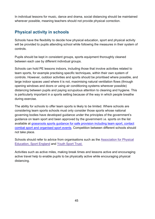In individual lessons for music, dance and drama, social distancing should be maintained wherever possible, meaning teachers should not provide physical correction.

# <span id="page-44-0"></span>**Physical activity in schools**

Schools have the flexibility to decide how physical education, sport and physical activity will be provided to pupils attending school while following the measures in their system of controls.

Pupils should be kept in consistent groups, sports equipment thoroughly cleaned between each use by different individual groups.

Schools can hold PE lessons indoors, including those that involve activities related to team sports, for example practising specific techniques, within their own system of controls. However, outdoor activities and sports should be prioritised where possible, and large indoor spaces used where it is not, maximising natural ventilation flows (through opening windows and doors or using air conditioning systems wherever possible) distancing between pupils and paying scrupulous attention to cleaning and hygiene. This is particularly important in a sports setting because of the way in which people breathe during exercise.

The ability for schools to offer team sports is likely to be limited. Where schools are considering team sports schools must only consider those sports whose national governing bodies have developed guidance under the principles of the government's guidance on team sport and been approved by the government i.e. sports on the list available at [grassroots sports guidance for safe provision including team sport, contact](https://www.gov.uk/guidance/coronavirus-covid-19-grassroots-sports-guidance-for-safe-provision-including-team-sport-contact-combat-sport-and-organised-sport-events)  [combat sport and organised sport events.](https://www.gov.uk/guidance/coronavirus-covid-19-grassroots-sports-guidance-for-safe-provision-including-team-sport-contact-combat-sport-and-organised-sport-events) Competition between different schools should not take place.

Schools should refer to advice from organisations such as the Association [for Physical](https://www.afpe.org.uk/physical-education/wp-content/uploads/COVID-19-Interpreting-the-Government-Guidance-in-a-PESSPA-Context-FINAL.pdf.)  [Education,](https://www.afpe.org.uk/physical-education/wp-content/uploads/COVID-19-Interpreting-the-Government-Guidance-in-a-PESSPA-Context-FINAL.pdf.) Sport England and [Youth](https://www.youthsporttrust.org/coronavirus-support-schools) Sport Trust.

Activities such as active miles, making break times and lessons active and encouraging active travel help to enable pupils to be physically active while encouraging physical distancing.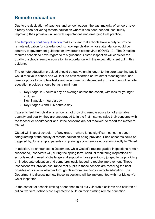# <span id="page-45-0"></span>**Remote education**

Due to the dedication of teachers and school leaders, the vast majority of schools have already been delivering remote education where it has been needed, continually improving their provision in line with expectations and emerging best practice.

The [temporary continuity direction](https://www.gov.uk/government/publications/remote-education-temporary-continuity-direction-explanatory-note) makes it clear that schools have a duty to provide remote education for state-funded, school-age children whose attendance would be contrary to government guidance or law around coronavirus (COVID-19). The Direction requires schools to have regard to this guidance. Ofsted inspection will consider the quality of schools' remote education in accordance with the expectations set out in this guidance.

The remote education provided should be equivalent in length to the core teaching pupils would receive in school and will include both recorded or live direct teaching time, and time for pupils to complete tasks and assignments independently. The amount of remote education provided should be, as a minimum:

- Key Stage 1: 3 hours a day on average across the cohort, with less for younger children
- Key Stage 2: 4 hours a day
- Key Stages 3 and 4: 5 hours a day

If parents feel their children's school is not providing remote education of a suitable quantity and quality, they are encouraged to in the first instance raise their concerns with the teacher or headteacher and, if the concerns are not resolved, to report the matter to Ofsted.

Ofsted will inspect schools – of any grade – where it has significant concerns about safeguarding or the quality of remote education being provided. Such concerns could be triggered by, for example, parents complaining about remote education directly to Ofsted.

In addition, as announced in December, while Ofsted's routine graded inspections remain suspended, inspectors will, during the spring term, conduct monitoring inspections of schools most in need of challenge and support – those previously judged to be providing an inadequate education and some previously judged to require improvement. Those inspections will provide assurance that pupils in those schools are receiving the best possible education – whether through classroom teaching or remote education. The Department is discussing how these inspections will be implemented with her Majesty's Chief Inspector.

In the context of schools limiting attendance to all but vulnerable children and children of critical workers, schools are expected to build on their existing remote education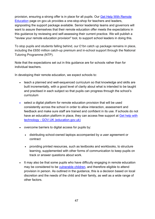provision, ensuring a strong offer is in place for all pupils. Our [Get Help With Remote](https://www.gov.uk/guidance/get-help-with-remote-education)  [Education](https://www.gov.uk/guidance/get-help-with-remote-education) page on gov.uk provides a one-stop-shop for teachers and leaders, signposting the support package available. Senior leadership teams and governors will want to assure themselves that their remote education offer meets the expectations in this guidance by reviewing and self-assessing their current practice. We will publish a "review your remote education provision" tool, to support school leaders in doing this.

To stop pupils and students falling behind, our £1bn catch up package remains in place, including the £650 million catch-up premium and in-school support through the National Tutoring Programme (NTP).

Note that the expectations set out in this guidance are for schools rather than for individual teachers.

In developing their remote education, we expect schools to:

- teach a planned and well-sequenced curriculum so that knowledge and skills are built incrementally, with a good level of clarity about what is intended to be taught and practised in each subject so that pupils can progress through the school's curriculum
- select a digital platform for remote education provision that will be used consistently across the school in order to allow interaction, assessment and feedback and make sure staff are trained and confident in its use. If schools do not have an education platform in place, they can access free support at [Get help with](https://get-help-with-tech.education.gov.uk/digital-platforms)  [technology - GOV.UK \(education.gov.uk\)](https://get-help-with-tech.education.gov.uk/digital-platforms)
- overcome barriers to digital access for pupils by:
	- distributing school-owned laptops accompanied by a user agreement or contract
	- providing printed resources, such as textbooks and workbooks, to structure learning, supplemented with other forms of communication to keep pupils on track or answer questions about work.
- It may also be that some pupils who have difficulty engaging in remote education may be considered to be [vulnerable children,](https://www.gov.uk/government/publications/coronavirus-covid-19-maintaining-educational-provision/guidance-for-schools-colleges-and-local-authorities-on-maintaining-educational-provision#vulnerable-children-and-young-people) and therefore eligible to attend provision in person. As outlined in the guidance, this is a decision based on local discretion and the needs of the child and their family, as well as a wide range of other factors.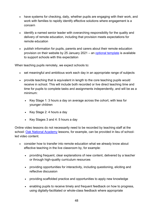- have systems for checking, daily, whether pupils are engaging with their work, and work with families to rapidly identify effective solutions where engagement is a concern
- identify a named senior leader with overarching responsibility for the quality and delivery of remote education, including that provision meets expectations for remote education
- publish information for pupils, parents and carers about their remote education provision on their website by 25 January 2021 – an [optional template](https://www.gov.uk/government/publications/providing-remote-education-information-to-parents-template) is available to support schools with this expectation

When teaching pupils remotely, we expect schools to:

- set meaningful and ambitious work each day in an appropriate range of subjects
- provide teaching that is equivalent in length to the core teaching pupils would receive in school. This will include both recorded or live direct teaching time and time for pupils to complete tasks and assignments independently, and will be as a minimum:
	- Key Stage 1: 3 hours a day on average across the cohort, with less for younger children
	- Key Stage 2: 4 hours a day
	- Key Stages 3 and 4: 5 hours a day

Online video lessons do not necessarily need to be recorded by teaching staff at the school: [Oak National Academy](https://www.thenational.academy/) lessons, for example, can be provided in lieu of schoolled video content.

- consider how to transfer into remote education what we already know about effective teaching in the live classroom by, for example:
	- providing frequent, clear explanations of new content, delivered by a teacher or through high-quality curriculum resources
	- providing opportunities for interactivity, including questioning, eliciting and reflective discussion
	- providing scaffolded practice and opportunities to apply new knowledge
	- enabling pupils to receive timely and frequent feedback on how to progress, using digitally-facilitated or whole-class feedback where appropriate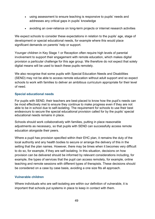- using assessment to ensure teaching is responsive to pupils' needs and addresses any critical gaps in pupils' knowledge
- avoiding an over-reliance on long-term projects or internet research activities

We expect schools to consider these expectations in relation to the pupils' age, stage of development or special educational needs, for example where this would place significant demands on parents' help or support.

Younger children in Key Stage 1 or Reception often require high levels of parental involvement to support their engagement with remote education, which makes digital provision a particular challenge for this age group. We therefore do not expect that solely digital means will be used to teach these pupils remotely.

We also recognise that some pupils with Special Education Needs and Disabilities (SEND) may not be able to access remote education without adult support and so expect schools to work with families to deliver an ambitious curriculum appropriate for their level of need.

#### **Special educational needs**

For pupils with SEND, their teachers are best-placed to know how the pupil's needs can be most effectively met to ensure they continue to make progress even if they are not able to be in school due to self-isolating. The requirement for schools to use their best endeavours to secure the special educational provision called for by the pupils' special educational needs remains in place.

Schools should work collaboratively with families, putting in place reasonable adjustments as necessary, so that pupils with SEND can successfully access remote education alongside their peers.

Where a pupil has provision specified within their EHC plan, it remains the duty of the local authority and any health bodies to secure or arrange the delivery of this in the setting that the plan names. However, there may be times when it becomes very difficult to do so, for example, if they are self-isolating. In this situation, decisions on how provision can be delivered should be informed by relevant considerations including, for example, the types of services that the pupil can access remotely, for example, online teaching and remote sessions with different types of therapists. These decisions should be considered on a case by case basis, avoiding a one size fits all approach.

#### **Vulnerable children**

Where individuals who are self-isolating are within our definition of vulnerable, it is important that schools put systems in place to keep in contact with them.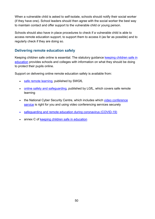When a vulnerable child is asked to self-isolate, schools should notify their social worker (if they have one). School leaders should then agree with the social worker the best way to maintain contact and offer support to the vulnerable child or young person.

Schools should also have in place procedures to check if a vulnerable child is able to access remote education support, to support them to access it (as far as possible) and to regularly check if they are doing so.

## **Delivering remote education safely**

Keeping children safe online is essential. The statutory guidance keeping children safe in [education](https://www.gov.uk/government/publications/keeping-children-safe-in-education--2) provides schools and colleges with information on what they should be doing to protect their pupils online.

Support on delivering online remote education safely is available from:

- [safe remote learning,](https://swgfl.org.uk/resources/safe-remote-learning) published by SWGfL
- [online safety and safeguarding,](https://www.lgfl.net/online-safety/default.aspx) published by LGfL, which covers safe remote learning
- the National Cyber Security Centre, which includes which video conference [service](https://www.ncsc.gov.uk/guidance/video-conferencing-services-security-guidance-organisations) is right for you and using video [conferencing](https://www.ncsc.gov.uk/guidance/video-conferencing-services-using-them-securely) services securely
- [safeguarding and remote education during coronavirus \(COVID-19\)](https://www.gov.uk/guidance/safeguarding-and-remote-education-during-coronavirus-covid-19)
- annex C of keeping children safe in education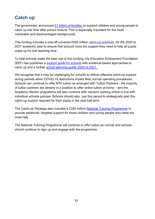# <span id="page-50-0"></span>**Catch up**

The government announced  $£1$  billion of funding to support children and young people to catch up lost time after school closure. This is especially important for the most vulnerable and disadvantaged backgrounds.

This funding includes a one-off universal £650 million [catch-up premium](https://www.gov.uk/government/publications/catch-up-premium-coronavirus-covid-19/catch-up-premium) for the 2020 to 2021 academic year to ensure that schools have the support they need to help all pupils make up for lost teaching time.

To help schools make the best use of this funding, the Education Endowment Foundation (EEF) has published a [support guide for schools](https://educationendowmentfoundation.org.uk/covid-19-resources/covid-19-support-guide-for-schools/#nav-covid-19-support-guide-for-schools1) with evidence-based approaches to catch up and a further [school planning guide: 2020 to 2021.](https://educationendowmentfoundation.org.uk/covid-19-resources/guide-to-supporting-schools-planning/)

We recognise that it may be challenging for schools to deliver effective catch-up support during periods when COVID-19 restrictions impact their normal operating procedures. Schools can continue to offer NTP tuition as arranged with Tuition Partners - the majority of tuition partners are already in a position to offer online tuition at home – and the Academic Mentor programme will also continue with mentors working online in line with individual schools policies. Schools should also use this period to strategically plan the catch-up support required for their pupils in the next half-term.

The Catch-up Package also includes a £350 million [National Tutoring Programme](https://nationaltutoring.org.uk/) to provide additional, targeted support for those children and young people who need the most help

The National Tutoring Programme will continue to offer tuition as normal and schools should continue to sign up and engage with the programme.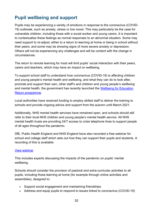# <span id="page-51-0"></span>**Pupil wellbeing and support**

Pupils may be experiencing a variety of emotions in response to the coronavirus (COVID-19) outbreak, such as anxiety, stress or low mood. This may particularly be the case for vulnerable children, including those with a social worker and young carers. It is important to contextualise these feelings as normal responses to an abnormal situation. Some may need support to re-adjust, either to a return to learning at home or being in school without their peers, and some may be showing signs of more severe anxiety or depression. Others will not be experiencing any challenges and will be content with the change in circumstances.

The return to remote learning for most will limit pupils' social interaction with their peers, carers and teachers, which may have an impact on wellbeing.

To support school staff to understand how coronavirus (COVID-19) is affecting children and young people's mental health and wellbeing, and what they can do to look after, promote and support their own, other staff's and children and young people's wellbeing and mental health, the government has recently launched the Wellbeing for Education [Return programme.](https://www.gov.uk/government/news/8m-programme-to-boost-pupil-and-teacher-wellbeing)

Local authorities have received funding to employ skilled staff to deliver the training to schools and provide ongoing advice and support from the autumn until March 2021.

Additionally, NHS mental health services have remained open, and schools should still refer to their local NHS children and young people's mental health service. All NHS mental health trusts are providing 24/7 access to crisis telephone lines to support people of all ages throughout the pandemic.

DfE, Public Health England and NHS England have also recorded a free webinar for school and college staff which sets out how they can support their pupils and students. A recording of this is available:

#### [View webinar](https://youtu.be/MYmBLnSQh3M)

This includes experts discussing the impacts of the pandemic on pupils' mental wellbeing.

Schools should consider the provision of pastoral and extra-curricular activities to all pupils, including those learning at home (for example through online activities and assemblies), designed to:

- Support social engagement and maintaining friendships
- Address and equip pupils to respond to issues linked to coronavirus (COVID-19)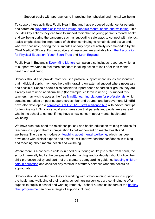• Support pupils with approaches to improving their physical and mental wellbeing

To support these activities, Public Health England have produced guidance for parents and carers on [supporting children and young people's mental health and wellbeing.](https://www.gov.uk/government/publications/covid-19-guidance-on-supporting-children-and-young-peoples-mental-health-and-wellbeing) This includes key actions they can take to support their child or young person's mental health and wellbeing during the pandemic such as supporting safe ways to connect with friends. It also emphasises the importance of children continuing to remain fit and active and, wherever possible, having the 60 minutes of daily physical activity recommended by the Chief Medical Officers. Further advice and resources are available from [the Association](https://www.afpe.org.uk/coronavirus-guidance-support/)  [for Physical Education,](https://www.afpe.org.uk/coronavirus-guidance-support/) [Youth Sport Trust](https://www.youthsporttrust.org/coronavirus-support-schools) and [Sport England.](https://www.sportengland.org/how-we-can-help/coronavirus)

Public Health England's [Every Mind Matters](https://www.nhs.uk/oneyou/every-mind-matters/) campaign also includes resources which aim to support everyone to feel more confident in taking action to look after their mental health and wellbeing.

Schools should also provide more focused pastoral support where issues are identified that individual pupils may need help with, drawing on external support where necessary and possible. Schools should also consider support needs of particular groups they are already aware need additional help (for example, children in need.) To support this, teachers may wish to access the free [MindEd learning platform for professionals,](https://www.minded.org.uk/) which contains materials on peer support, stress, fear and trauma, and bereavement. MindEd have also developed a [coronavirus \(COVID-19\) staff resilience hub](https://covid.minded.org.uk/) with advice and tips for frontline staff. Schools should also make sure that parents and pupils are aware of who in the school to contact if they have a new concern about mental health and wellbeing.

We have also published the relationships, sex and health education training modules for teachers to support them in preparation to deliver content on mental health and wellbeing. The training module on [teaching about mental wellbeing,](https://www.gov.uk/guidance/teaching-about-mental-wellbeing) which has been developed with clinical experts and schools, will improve teacher confidence in talking and teaching about mental health and wellbeing.

Where there is a concern a child is in need or suffering or likely to suffer from harm, the school (generally led by the designated safeguarding lead or deputy) should follow their child protection policy and part 1 of the statutory safeguarding guidance keeping children [safe in education](https://www.gov.uk/government/publications/keeping-children-safe-in-education--2) and consider any referral to statutory services (and the police) as appropriate.

Schools should consider how they are working with school nursing services to support the health and wellbeing of their pupils; school nursing services are continuing to offer support to pupils in school and working remotely– school nurses as leaders of the healthy [child programme](https://www.gov.uk/government/publications/healthy-child-programme-0-to-19-health-visitor-and-school-nurse-commissioning) can offer a range of support including: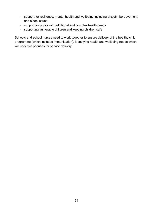- support for resilience, mental health and wellbeing including anxiety, bereavement and sleep issues
- support for pupils with additional and complex health needs
- supporting vulnerable children and keeping children safe

Schools and school nurses need to work together to ensure delivery of the healthy child programme (which includes immunisation), identifying health and wellbeing needs which will underpin priorities for service delivery.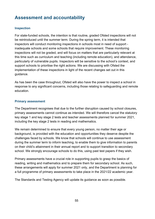# <span id="page-54-0"></span>**Assessment and accountability**

#### <span id="page-54-1"></span>**Inspection**

For state-funded schools, the intention is that routine, graded Ofsted inspections will not be reintroduced until the summer term. During the spring term, it is intended that inspectors will conduct monitoring inspections in schools most in need of support inadequate schools and some schools that require improvement. These monitoring inspections will not be graded, and will focus on matters that are particularly relevant at this time such as curriculum and teaching (including remote education), and attendance, particularly of vulnerable pupils. Inspectors will be sensitive to the school's context, and support schools to prioritise the right actions. We are discussing with Ofsted the implementation of these inspections in light of the recent changes set out in this guidance.

As has been the case throughout, Ofsted will also have the power to inspect a school in response to any significant concerns, including those relating to safeguarding and remote education. 

#### <span id="page-54-2"></span>**Primary assessment**

The Department recognises that due to the further disruption caused by school closures, primary assessments cannot continue as intended. We will therefore cancel the statutory key stage 1 and key stage 2 tests and teacher assessments planned for summer 2021, including the key stage 2 tests in reading and mathematics.

We remain determined to ensure that every young person, no matter their age or background, is provided with the education and opportunities they deserve despite the challenges faced by schools. We know that schools will continue to use assessment during the summer term to inform teaching, to enable them to give information to parents on their child's attainment in their annual report and to support transition to secondary school. We strongly encourage schools to do this, using past test papers if they wish.

Primary assessments have a crucial role in supporting pupils to grasp the basics of reading, writing and mathematics and to prepare them for secondary school. As such, these arrangements will apply for summer 2021 only, and the Department is planning for a full programme of primary assessments to take place in the 2021/22 academic year.

The Standards and Testing Agency will update its guidance as soon as possible.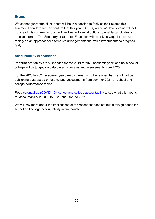#### <span id="page-55-0"></span>**Exams**

We cannot guarantee all students will be in a position to fairly sit their exams this summer. Therefore we can confirm that this year GCSEs, A and AS level exams will not go ahead this summer as planned, and we will look at options to enable candidates to receive a grade. The Secretary of State for Education will be asking Ofqual to consult rapidly on an approach for alternative arrangements that will allow students to progress fairly.

#### <span id="page-55-1"></span>**Accountability expectations**

Performance tables are suspended for the 2019 to 2020 academic year, and no school or college will be judged on data based on exams and assessments from 2020.

For the 2020 to 2021 academic year, we confirmed on 3 December that we will not be publishing data based on exams and assessments from summer 2021 on school and college performance tables.

Read [coronavirus \(COVID-19\): school and college accountability](https://www.gov.uk/government/publications/coronavirus-covid-19-school-and-college-performance-measures?_ga=2.131656079.1405893355.1602512650-2061908854.1576756995) to see what this means for accountability in 2019 to 2020 and 2020 to 2021.

We will say more about the implications of the recent changes set out in this guidance for school and college accountability in due course.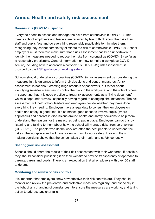# <span id="page-56-0"></span>**Annex: Health and safety risk assessment**

#### **Coronavirus (COVID-19) specific**

Everyone needs to assess and manage the risks from coronavirus (COVID-19). This means school employers and leaders are required by law to think about the risks their staff and pupils face and do everything reasonably practicable to minimise them, recognising they cannot completely eliminate the risk of coronavirus (COVID-19). School employers must therefore make sure that a risk assessment has been undertaken to identify the measures needed to reduce the risks from coronavirus (COVID-19) so far as is reasonably practicable. General information on how to make a workplace COVIDsecure, including how to approach a coronavirus (COVID-19) risk assessment, is provided by the HSE [guidance](https://www.hse.gov.uk/coronavirus/working-safely/index.htm) on working safely.

Schools should undertake a coronavirus (COVID-19) risk assessment by considering the measures in this guidance to inform their decisions and control measures. A risk assessment is not about creating huge amounts of paperwork, but rather about identifying sensible measures to control the risks in the workplace, and the role of others in supporting that. It is good practice to treat risk assessments as a "living document" which is kept under review, especially having regard to changing circumstances. The risk assessment will help school leaders and employers decide whether they have done everything they need to. Employers have a legal duty to consult their employees on health and safety in good time. It also makes good sense to involve pupils (where applicable) and parents in discussions around health and safety decisions to help them understand the reasons for the measures being put in place. Employers can do this by listening and talking to them about how the school will manage risks from coronavirus (COVID-19). The people who do the work are often the best people to understand the risks in the workplace and will have a view on how to work safely. Involving them in making decisions shows that the school takes their health and safety seriously.

#### **Sharing your risk assessment**

Schools should share the results of their risk assessment with their workforce. If possible, they should consider publishing it on their website to provide transparency of approach to parents, carers and pupils (There is an expectation that all employers with over 50 staff to do so).

#### **Monitoring and review of risk controls**

It is important that employers know how effective their risk controls are. They should monitor and review the preventive and protective measures regularly (and especially in the light of any changing circumstances), to ensure the measures are working, and taking action to address any shortfalls.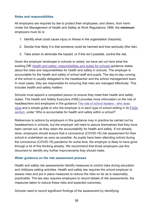#### **Roles and responsibilities**

All employers are required by law to protect their employees, and others, from harm. Under the Management of Health and Safety at Work Regulations 1999, the **minimum** employers must do is:

- 1. Identify what could cause injury or illness in the organisation (hazards).
- 2. Decide how likely it is that someone could be harmed and how seriously (the risk).
- 3. Take action to eliminate the hazard, or if this isn't possible, control the risk.

Given the employer landscape in schools is varied, we have set out here what the existing DfE Health and safety: [responsibilities](https://www.gov.uk/government/publications/health-and-safety-advice-for-schools/responsibilities-and-duties-for-schools) and duties for schools guidance states about the roles and responsibilities for health and safety in schools. The employer is accountable for the health and safety of school staff and pupils. The day-to-day running of the school is usually delegated to the headteacher and the school management team. In most cases, they are responsible for ensuring that risks are managed effectively. This includes health and safety matters.

Schools must appoint a competent person to ensure they meet their health and safety duties. The Health and Safety Executive (HSE) provides more information on the role of headteachers and employers in the guidance The role of school [leaders - who](https://www.hse.gov.uk/services/education/sensible-leadership/school-leaders.htm) does [what](https://www.hse.gov.uk/services/education/sensible-leadership/school-leaders.htm) and a simple guide to who the employer is in each type of school setting in its [FAQs](https://www.hse.gov.uk/services/education/faqs.htm#a1) [section,](https://www.hse.gov.uk/services/education/faqs.htm#a1) under 'Who is accountable for health and safety within a school?'.

References to actions by employers in this guidance may in practice be carried out by headteachers in schools, but the employer will need to assure themselves that they have been carried out, as they retain the accountability for health and safety. If not already done, employers should ensure that a coronavirus (COVID-19) risk assessment for their school is undertaken as soon as possible. As pupils have been attending school during the coronavirus (COVID-19) pandemic for some time, the employer is likely to have gone through a lot of this thinking already. We recommend that those employers use this document to identify any further improvements they should make.

#### **Wider guidance on the risk assessment process**

Health and safety risk assessments identify measures to control risks during education and childcare setting activities. Health and safety law requires the school employer to assess risks and put in place measures to reduce the risks so far as is reasonably practicable. The law also requires employers to record details of risk assessments, the measures taken to reduce these risks and expected outcomes.

Schools need to record significant findings of the assessment by identifying: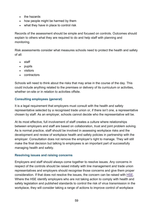- the hazards
- how people might be harmed by them
- what they have in place to control risk

Records of the assessment should be simple and focused on controls. Outcomes should explain to others what they are required to do and help staff with planning and monitoring.

Risk assessments consider what measures schools need to protect the health and safety of all:

- staff
- pupils
- visitors
- contractors

Schools will need to think about the risks that may arise in the course of the day. This could include anything related to the premises or delivery of its curriculum or activities, whether on-site or in relation to activities offsite.

## **Consulting employees (general)**

It is a legal requirement that employers must consult with the health and safety representative selected by a recognised trade union or, if there isn't one, a representative chosen by staff. As an employer, schools cannot decide who the representative will be.

At its most effective, full involvement of staff creates a culture where relationships between employers and staff are based on collaboration, trust and joint problem solving. As is normal practice, staff should be involved in assessing workplace risks and the development and review of workplace health and safety policies in partnership with the employer. Consultation does not remove the employer's right to manage. They will still make the final decision but talking to employees is an important part of successfully managing health and safety.

### **Resolving issues and raising concerns**

Employers and staff should always come together to resolve issues. Any concerns in respect of the controls should be raised initially with line management and trade union representatives and employers should recognise those concerns and give them proper consideration. If that does not resolve the issues, the concern can be raised with [HSE.](https://www.hse.gov.uk/) Where the HSE identify employers who are not taking action to comply with health and safety legislation and published standards to control the risk of virus transmission in the workplace, they will consider taking a range of actions to improve control of workplace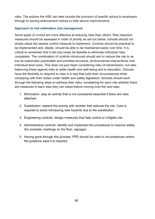risks. The actions the HSE can take include the provision of specific advice to employers through to issuing enforcement notices to help secure improvements.

### **Approach to risk estimation and management**

Some types of control are more effective at reducing risks than others. Risk reduction measures should be assessed in order of priority as set out below; schools should not simply adopt the easiest control measure to implement. Controls should be practical to be implemented and, ideally, should be able to be maintained easily over time. It is critical to remember that it will only rarely be feasible to eliminate individual risks completely. The combination of controls introduced should aim to reduce the risk to as low as reasonably practicable and prioritise structural, environmental interventions over individual level ones. This does not just mean considering risks of transmission, but also balancing these against risks to wider health and well-being and to education. Schools have the flexibility to respond to risks in a way that suits their circumstances while complying with their duties under health and safety legislation. Schools should work through the following steps to address their risks, considering for each risk whether there are measures in each step they can adopt before moving onto the next step:

- 1. Elimination: stop an activity that is not considered essential if there are risks attached.
- 2. Substitution: replace the activity with another that reduces the risk. Care is required to avoid introducing new hazards due to the substitution.
- 3. Engineering controls: design measures that help control or mitigate risk.
- 4. Administrative controls: identify and implement the procedures to improve safety (for example, markings on the floor, signage).
- 5. Having gone through this process, PPE should be used in circumstances where the guidance says it is required.